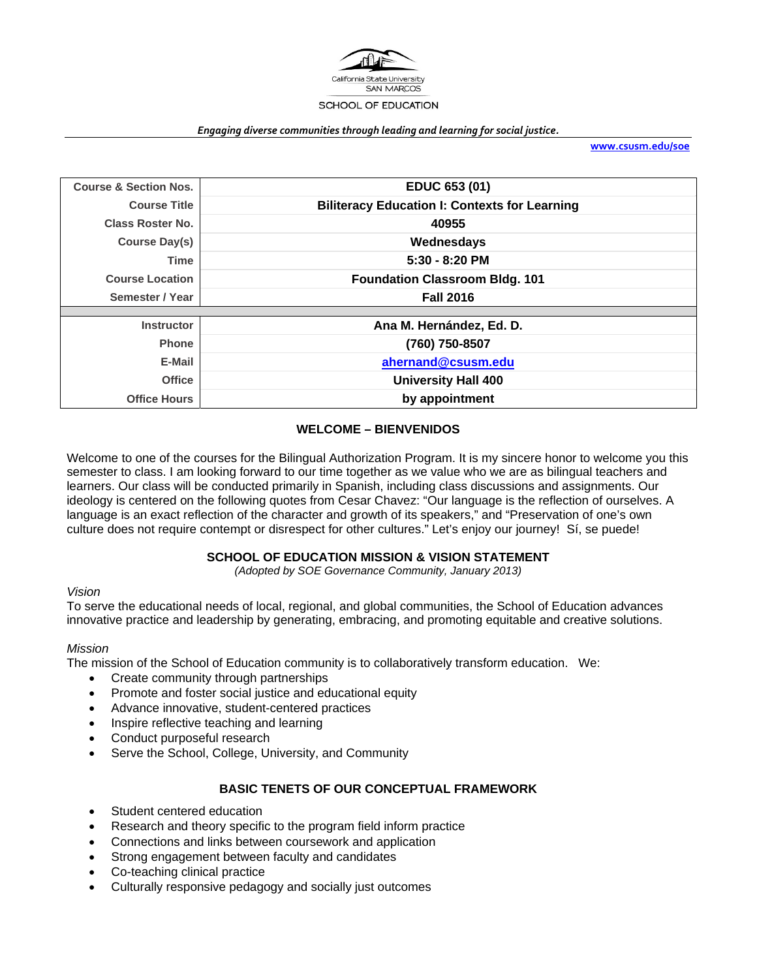

#### *Engaging diverse communities through leading and learning for social justice.*

**www.csusm.edu/soe**

| <b>Course &amp; Section Nos.</b> | EDUC 653 (01)                                        |
|----------------------------------|------------------------------------------------------|
| <b>Course Title</b>              | <b>Biliteracy Education I: Contexts for Learning</b> |
| <b>Class Roster No.</b>          | 40955                                                |
| Course Day(s)                    | Wednesdays                                           |
| Time                             | $5:30 - 8:20$ PM                                     |
| <b>Course Location</b>           | <b>Foundation Classroom Bldg. 101</b>                |
| Semester / Year                  | <b>Fall 2016</b>                                     |
|                                  |                                                      |
| <b>Instructor</b>                | Ana M. Hernández, Ed. D.                             |
| <b>Phone</b>                     | (760) 750-8507                                       |
| E-Mail                           | ahernand@csusm.edu                                   |
| <b>Office</b>                    | <b>University Hall 400</b>                           |
| <b>Office Hours</b>              | by appointment                                       |

## **WELCOME – BIENVENIDOS**

Welcome to one of the courses for the Bilingual Authorization Program. It is my sincere honor to welcome you this semester to class. I am looking forward to our time together as we value who we are as bilingual teachers and learners. Our class will be conducted primarily in Spanish, including class discussions and assignments. Our ideology is centered on the following quotes from Cesar Chavez: "Our language is the reflection of ourselves. A language is an exact reflection of the character and growth of its speakers," and "Preservation of one's own culture does not require contempt or disrespect for other cultures." Let's enjoy our journey! Sí, se puede!

#### **SCHOOL OF EDUCATION MISSION & VISION STATEMENT**

*(Adopted by SOE Governance Community, January 2013)* 

#### *Vision*

To serve the educational needs of local, regional, and global communities, the School of Education advances innovative practice and leadership by generating, embracing, and promoting equitable and creative solutions.

#### *Mission*

The mission of the School of Education community is to collaboratively transform education. We:

- Create community through partnerships
- Promote and foster social justice and educational equity
- Advance innovative, student-centered practices
- Inspire reflective teaching and learning
- Conduct purposeful research
- Serve the School, College, University, and Community

#### **BASIC TENETS OF OUR CONCEPTUAL FRAMEWORK**

- Student centered education
- Research and theory specific to the program field inform practice
- Connections and links between coursework and application
- Strong engagement between faculty and candidates
- Co-teaching clinical practice
- Culturally responsive pedagogy and socially just outcomes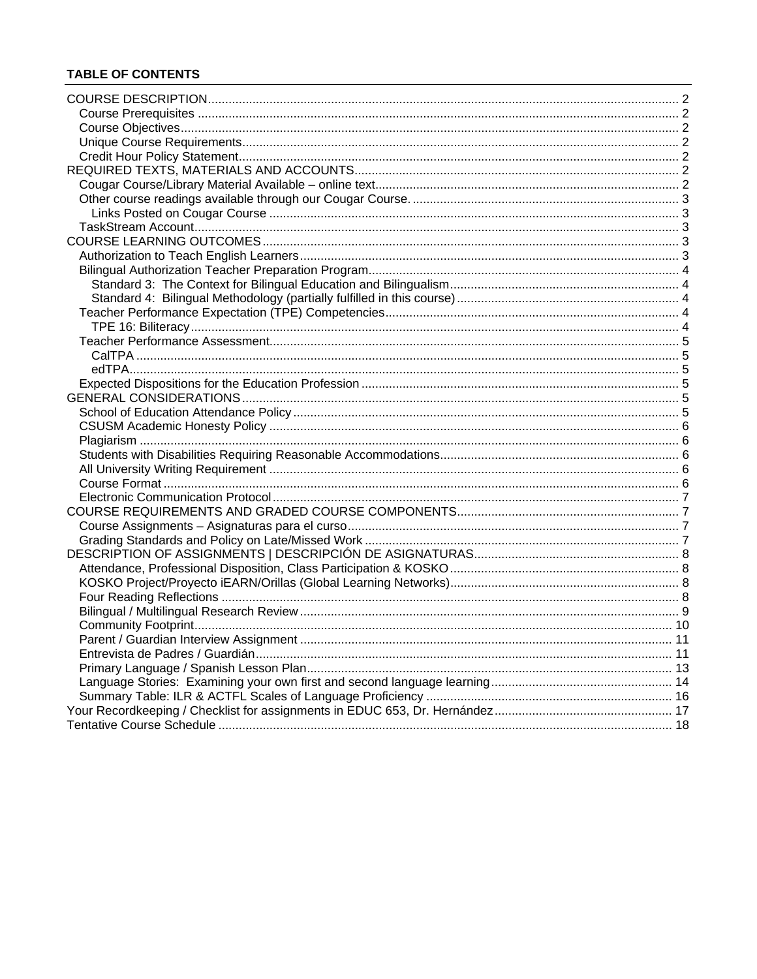# **TABLE OF CONTENTS**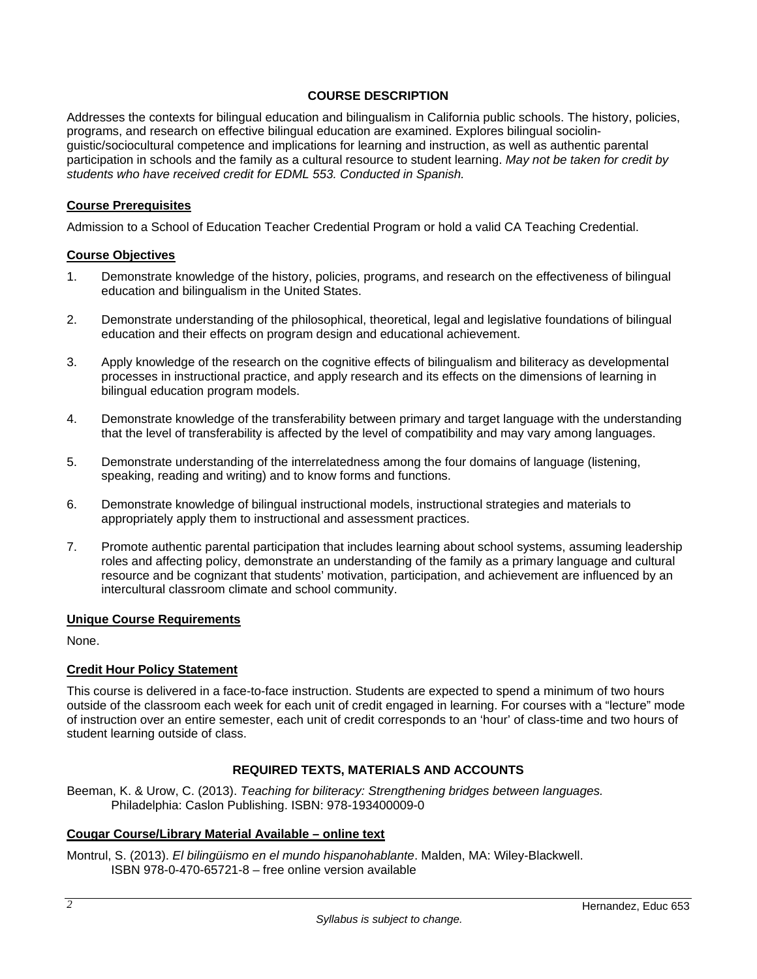#### **COURSE DESCRIPTION**

Addresses the contexts for bilingual education and bilingualism in California public schools. The history, policies, programs, and research on effective bilingual education are examined. Explores bilingual sociolinguistic/sociocultural competence and implications for learning and instruction, as well as authentic parental participation in schools and the family as a cultural resource to student learning. *May not be taken for credit by students who have received credit for EDML 553. Conducted in Spanish.* 

#### **Course Prerequisites**

Admission to a School of Education Teacher Credential Program or hold a valid CA Teaching Credential.

#### **Course Objectives**

- 1. Demonstrate knowledge of the history, policies, programs, and research on the effectiveness of bilingual education and bilingualism in the United States.
- 2. Demonstrate understanding of the philosophical, theoretical, legal and legislative foundations of bilingual education and their effects on program design and educational achievement.
- 3. Apply knowledge of the research on the cognitive effects of bilingualism and biliteracy as developmental processes in instructional practice, and apply research and its effects on the dimensions of learning in bilingual education program models.
- 4. Demonstrate knowledge of the transferability between primary and target language with the understanding that the level of transferability is affected by the level of compatibility and may vary among languages.
- 5. Demonstrate understanding of the interrelatedness among the four domains of language (listening, speaking, reading and writing) and to know forms and functions.
- 6. Demonstrate knowledge of bilingual instructional models, instructional strategies and materials to appropriately apply them to instructional and assessment practices.
- 7. Promote authentic parental participation that includes learning about school systems, assuming leadership roles and affecting policy, demonstrate an understanding of the family as a primary language and cultural resource and be cognizant that students' motivation, participation, and achievement are influenced by an intercultural classroom climate and school community.

#### **Unique Course Requirements**

None.

## **Credit Hour Policy Statement**

This course is delivered in a face-to-face instruction. Students are expected to spend a minimum of two hours outside of the classroom each week for each unit of credit engaged in learning. For courses with a "lecture" mode of instruction over an entire semester, each unit of credit corresponds to an 'hour' of class-time and two hours of student learning outside of class.

## **REQUIRED TEXTS, MATERIALS AND ACCOUNTS**

Beeman, K. & Urow, C. (2013). *Teaching for biliteracy: Strengthening bridges between languages.* Philadelphia: Caslon Publishing. ISBN: 978-193400009-0

## **Cougar Course/Library Material Available – online text**

Montrul, S. (2013). *El bilingüismo en el mundo hispanohablante*. Malden, MA: Wiley-Blackwell. ISBN 978-0-470-65721-8 – free online version available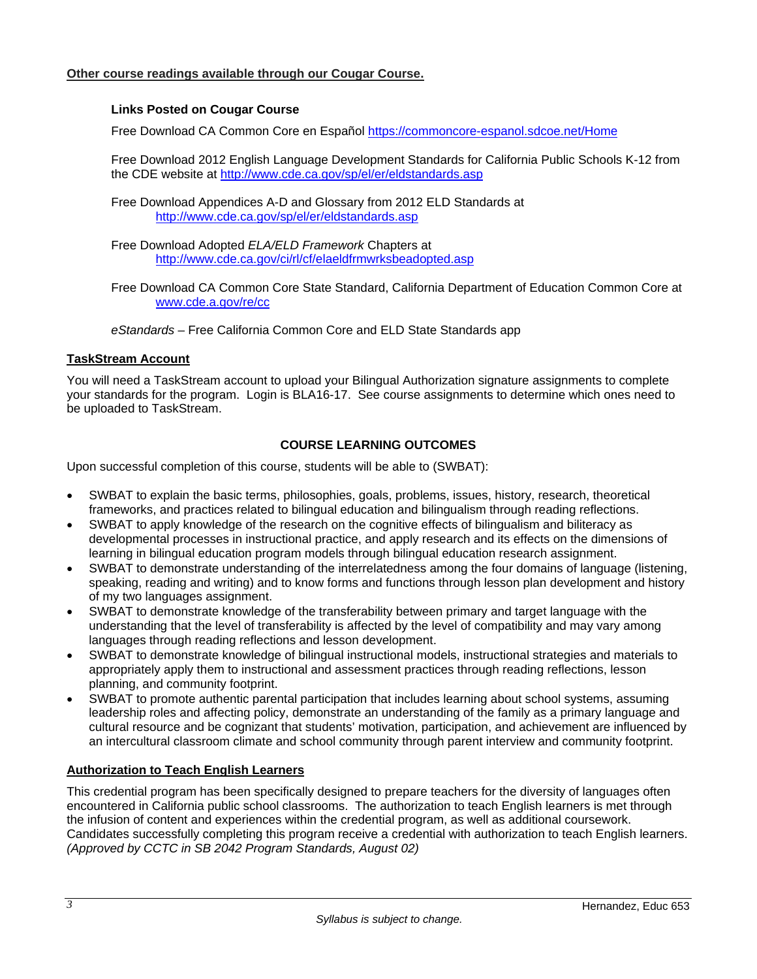## **Links Posted on Cougar Course**

Free Download CA Common Core en Español https://commoncore-espanol.sdcoe.net/Home

Free Download 2012 English Language Development Standards for California Public Schools K-12 from the CDE website at http://www.cde.ca.gov/sp/el/er/eldstandards.asp

Free Download Appendices A-D and Glossary from 2012 ELD Standards at http://www.cde.ca.gov/sp/el/er/eldstandards.asp

Free Download Adopted *ELA/ELD Framework* Chapters at http://www.cde.ca.gov/ci/rl/cf/elaeldfrmwrksbeadopted.asp

Free Download CA Common Core State Standard, California Department of Education Common Core at www.cde.a.gov/re/cc

*eStandards* – Free California Common Core and ELD State Standards app

#### **TaskStream Account**

You will need a TaskStream account to upload your Bilingual Authorization signature assignments to complete your standards for the program. Login is BLA16-17. See course assignments to determine which ones need to be uploaded to TaskStream.

## **COURSE LEARNING OUTCOMES**

Upon successful completion of this course, students will be able to (SWBAT):

- SWBAT to explain the basic terms, philosophies, goals, problems, issues, history, research, theoretical frameworks, and practices related to bilingual education and bilingualism through reading reflections.
- SWBAT to apply knowledge of the research on the cognitive effects of bilingualism and biliteracy as developmental processes in instructional practice, and apply research and its effects on the dimensions of learning in bilingual education program models through bilingual education research assignment.
- SWBAT to demonstrate understanding of the interrelatedness among the four domains of language (listening, speaking, reading and writing) and to know forms and functions through lesson plan development and history of my two languages assignment.
- SWBAT to demonstrate knowledge of the transferability between primary and target language with the understanding that the level of transferability is affected by the level of compatibility and may vary among languages through reading reflections and lesson development.
- SWBAT to demonstrate knowledge of bilingual instructional models, instructional strategies and materials to appropriately apply them to instructional and assessment practices through reading reflections, lesson planning, and community footprint.
- SWBAT to promote authentic parental participation that includes learning about school systems, assuming leadership roles and affecting policy, demonstrate an understanding of the family as a primary language and cultural resource and be cognizant that students' motivation, participation, and achievement are influenced by an intercultural classroom climate and school community through parent interview and community footprint.

## **Authorization to Teach English Learners**

This credential program has been specifically designed to prepare teachers for the diversity of languages often encountered in California public school classrooms. The authorization to teach English learners is met through the infusion of content and experiences within the credential program, as well as additional coursework. Candidates successfully completing this program receive a credential with authorization to teach English learners. *(Approved by CCTC in SB 2042 Program Standards, August 02)*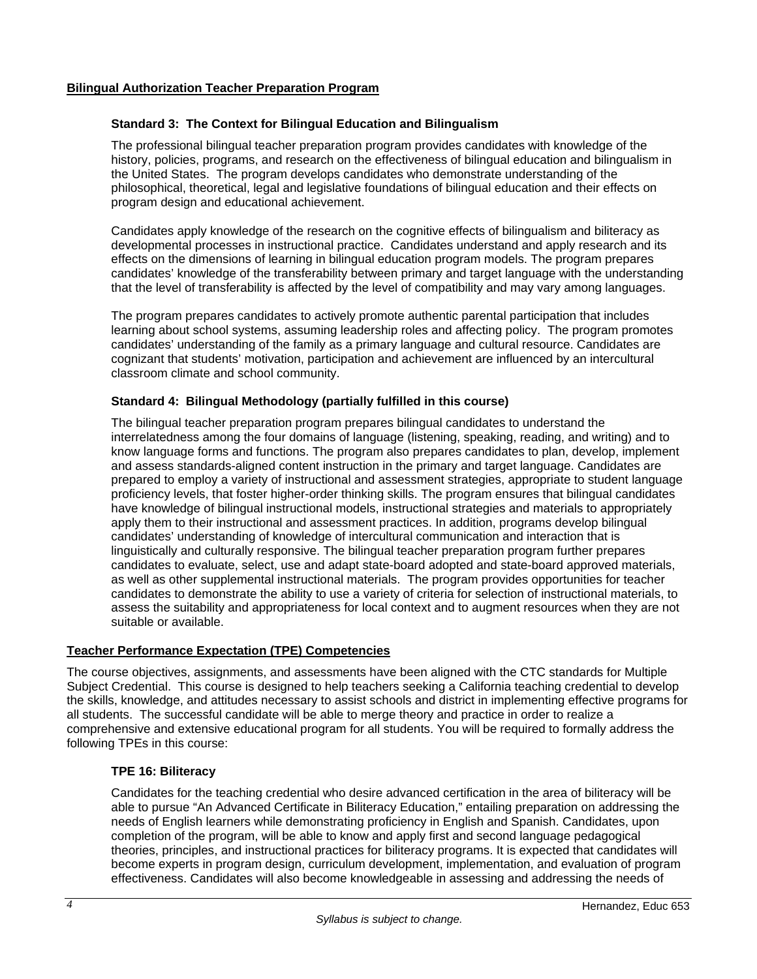## **Bilingual Authorization Teacher Preparation Program**

#### **Standard 3: The Context for Bilingual Education and Bilingualism**

 The professional bilingual teacher preparation program provides candidates with knowledge of the history, policies, programs, and research on the effectiveness of bilingual education and bilingualism in the United States. The program develops candidates who demonstrate understanding of the philosophical, theoretical, legal and legislative foundations of bilingual education and their effects on program design and educational achievement.

 Candidates apply knowledge of the research on the cognitive effects of bilingualism and biliteracy as developmental processes in instructional practice. Candidates understand and apply research and its effects on the dimensions of learning in bilingual education program models. The program prepares candidates' knowledge of the transferability between primary and target language with the understanding that the level of transferability is affected by the level of compatibility and may vary among languages.

 The program prepares candidates to actively promote authentic parental participation that includes learning about school systems, assuming leadership roles and affecting policy. The program promotes candidates' understanding of the family as a primary language and cultural resource. Candidates are cognizant that students' motivation, participation and achievement are influenced by an intercultural classroom climate and school community.

## **Standard 4: Bilingual Methodology (partially fulfilled in this course)**

 The bilingual teacher preparation program prepares bilingual candidates to understand the interrelatedness among the four domains of language (listening, speaking, reading, and writing) and to know language forms and functions. The program also prepares candidates to plan, develop, implement and assess standards-aligned content instruction in the primary and target language. Candidates are prepared to employ a variety of instructional and assessment strategies, appropriate to student language proficiency levels, that foster higher-order thinking skills. The program ensures that bilingual candidates have knowledge of bilingual instructional models, instructional strategies and materials to appropriately apply them to their instructional and assessment practices. In addition, programs develop bilingual candidates' understanding of knowledge of intercultural communication and interaction that is linguistically and culturally responsive. The bilingual teacher preparation program further prepares candidates to evaluate, select, use and adapt state-board adopted and state-board approved materials, as well as other supplemental instructional materials. The program provides opportunities for teacher candidates to demonstrate the ability to use a variety of criteria for selection of instructional materials, to assess the suitability and appropriateness for local context and to augment resources when they are not suitable or available.

## **Teacher Performance Expectation (TPE) Competencies**

The course objectives, assignments, and assessments have been aligned with the CTC standards for Multiple Subject Credential. This course is designed to help teachers seeking a California teaching credential to develop the skills, knowledge, and attitudes necessary to assist schools and district in implementing effective programs for all students. The successful candidate will be able to merge theory and practice in order to realize a comprehensive and extensive educational program for all students. You will be required to formally address the following TPEs in this course:

## **TPE 16: Biliteracy**

 Candidates for the teaching credential who desire advanced certification in the area of biliteracy will be able to pursue "An Advanced Certificate in Biliteracy Education," entailing preparation on addressing the needs of English learners while demonstrating proficiency in English and Spanish. Candidates, upon completion of the program, will be able to know and apply first and second language pedagogical theories, principles, and instructional practices for biliteracy programs. It is expected that candidates will become experts in program design, curriculum development, implementation, and evaluation of program effectiveness. Candidates will also become knowledgeable in assessing and addressing the needs of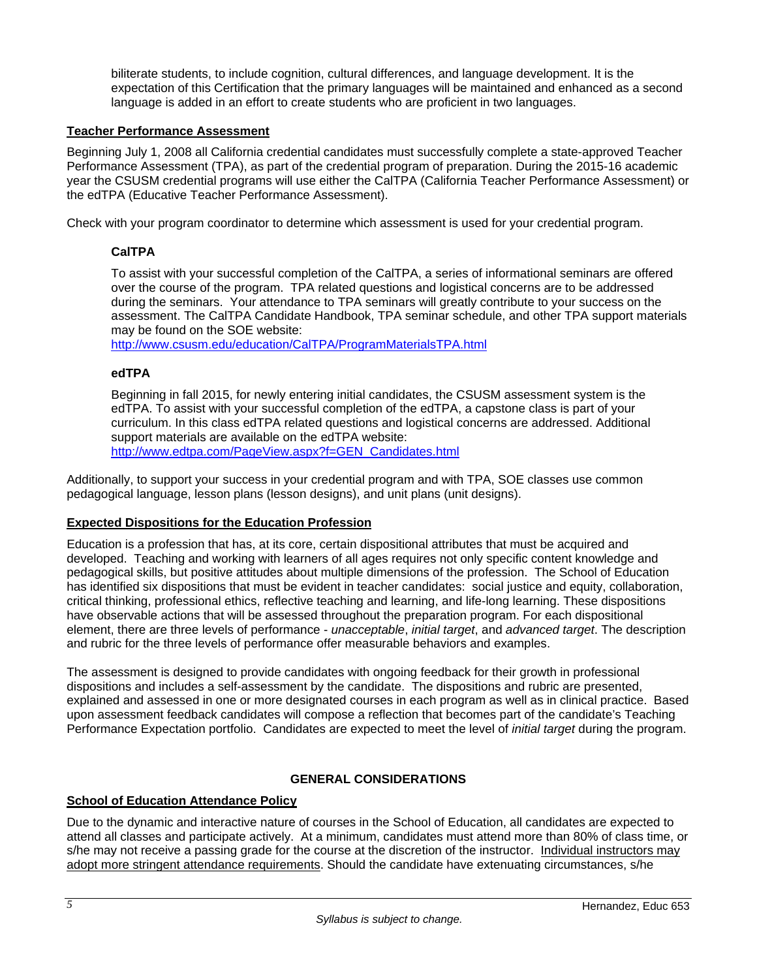biliterate students, to include cognition, cultural differences, and language development. It is the expectation of this Certification that the primary languages will be maintained and enhanced as a second language is added in an effort to create students who are proficient in two languages.

#### **Teacher Performance Assessment**

Beginning July 1, 2008 all California credential candidates must successfully complete a state-approved Teacher Performance Assessment (TPA), as part of the credential program of preparation. During the 2015-16 academic year the CSUSM credential programs will use either the CalTPA (California Teacher Performance Assessment) or the edTPA (Educative Teacher Performance Assessment).

Check with your program coordinator to determine which assessment is used for your credential program.

## **CalTPA**

To assist with your successful completion of the CalTPA, a series of informational seminars are offered over the course of the program. TPA related questions and logistical concerns are to be addressed during the seminars. Your attendance to TPA seminars will greatly contribute to your success on the assessment. The CalTPA Candidate Handbook, TPA seminar schedule, and other TPA support materials may be found on the SOE website:

http://www.csusm.edu/education/CalTPA/ProgramMaterialsTPA.html

## **edTPA**

Beginning in fall 2015, for newly entering initial candidates, the CSUSM assessment system is the edTPA. To assist with your successful completion of the edTPA, a capstone class is part of your curriculum. In this class edTPA related questions and logistical concerns are addressed. Additional support materials are available on the edTPA website: http://www.edtpa.com/PageView.aspx?f=GEN\_Candidates.html

Additionally, to support your success in your credential program and with TPA, SOE classes use common pedagogical language, lesson plans (lesson designs), and unit plans (unit designs).

#### **Expected Dispositions for the Education Profession**

Education is a profession that has, at its core, certain dispositional attributes that must be acquired and developed. Teaching and working with learners of all ages requires not only specific content knowledge and pedagogical skills, but positive attitudes about multiple dimensions of the profession. The School of Education has identified six dispositions that must be evident in teacher candidates: social justice and equity, collaboration, critical thinking, professional ethics, reflective teaching and learning, and life-long learning. These dispositions have observable actions that will be assessed throughout the preparation program. For each dispositional element, there are three levels of performance - *unacceptable*, *initial target*, and *advanced target*. The description and rubric for the three levels of performance offer measurable behaviors and examples.

The assessment is designed to provide candidates with ongoing feedback for their growth in professional dispositions and includes a self-assessment by the candidate. The dispositions and rubric are presented, explained and assessed in one or more designated courses in each program as well as in clinical practice. Based upon assessment feedback candidates will compose a reflection that becomes part of the candidate's Teaching Performance Expectation portfolio. Candidates are expected to meet the level of *initial target* during the program.

## **GENERAL CONSIDERATIONS**

## **School of Education Attendance Policy**

Due to the dynamic and interactive nature of courses in the School of Education, all candidates are expected to attend all classes and participate actively. At a minimum, candidates must attend more than 80% of class time, or s/he may not receive a passing grade for the course at the discretion of the instructor. Individual instructors may adopt more stringent attendance requirements. Should the candidate have extenuating circumstances, s/he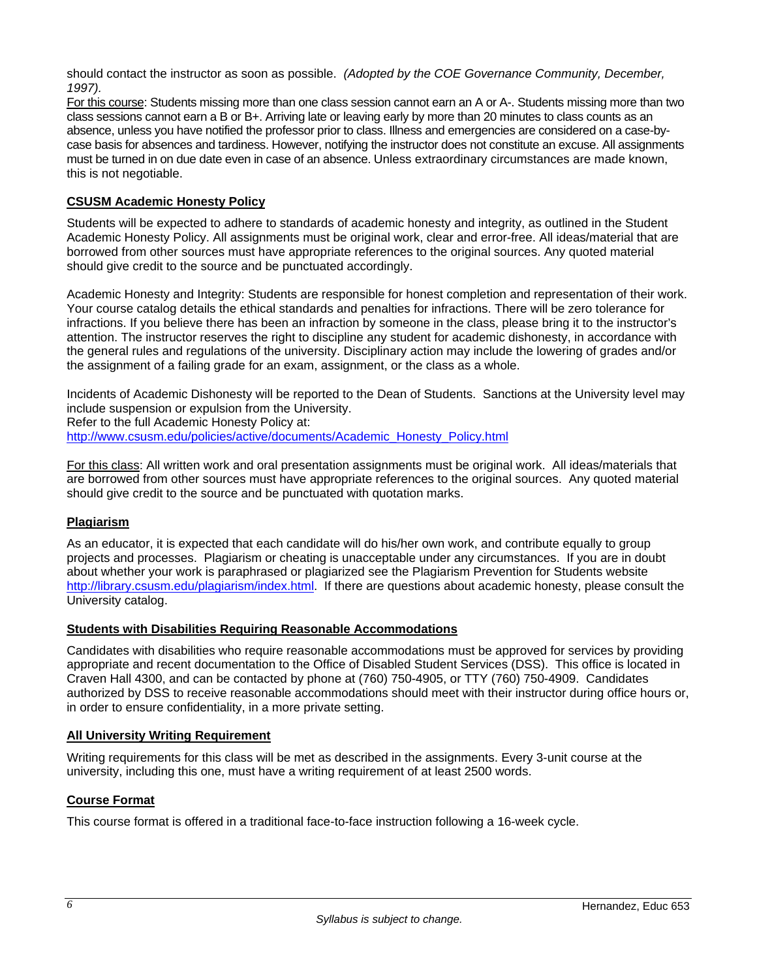should contact the instructor as soon as possible. *(Adopted by the COE Governance Community, December, 1997).*

For this course: Students missing more than one class session cannot earn an A or A-. Students missing more than two class sessions cannot earn a B or B+. Arriving late or leaving early by more than 20 minutes to class counts as an absence, unless you have notified the professor prior to class. Illness and emergencies are considered on a case-bycase basis for absences and tardiness. However, notifying the instructor does not constitute an excuse. All assignments must be turned in on due date even in case of an absence. Unless extraordinary circumstances are made known, this is not negotiable.

## **CSUSM Academic Honesty Policy**

Students will be expected to adhere to standards of academic honesty and integrity, as outlined in the Student Academic Honesty Policy. All assignments must be original work, clear and error-free. All ideas/material that are borrowed from other sources must have appropriate references to the original sources. Any quoted material should give credit to the source and be punctuated accordingly.

Academic Honesty and Integrity: Students are responsible for honest completion and representation of their work. Your course catalog details the ethical standards and penalties for infractions. There will be zero tolerance for infractions. If you believe there has been an infraction by someone in the class, please bring it to the instructor's attention. The instructor reserves the right to discipline any student for academic dishonesty, in accordance with the general rules and regulations of the university. Disciplinary action may include the lowering of grades and/or the assignment of a failing grade for an exam, assignment, or the class as a whole.

Incidents of Academic Dishonesty will be reported to the Dean of Students. Sanctions at the University level may include suspension or expulsion from the University. Refer to the full Academic Honesty Policy at:

http://www.csusm.edu/policies/active/documents/Academic\_Honesty\_Policy.html

For this class: All written work and oral presentation assignments must be original work. All ideas/materials that are borrowed from other sources must have appropriate references to the original sources. Any quoted material should give credit to the source and be punctuated with quotation marks.

## **Plagiarism**

As an educator, it is expected that each candidate will do his/her own work, and contribute equally to group projects and processes. Plagiarism or cheating is unacceptable under any circumstances. If you are in doubt about whether your work is paraphrased or plagiarized see the Plagiarism Prevention for Students website http://library.csusm.edu/plagiarism/index.html. If there are questions about academic honesty, please consult the University catalog.

## **Students with Disabilities Requiring Reasonable Accommodations**

Candidates with disabilities who require reasonable accommodations must be approved for services by providing appropriate and recent documentation to the Office of Disabled Student Services (DSS). This office is located in Craven Hall 4300, and can be contacted by phone at (760) 750-4905, or TTY (760) 750-4909. Candidates authorized by DSS to receive reasonable accommodations should meet with their instructor during office hours or, in order to ensure confidentiality, in a more private setting.

#### **All University Writing Requirement**

Writing requirements for this class will be met as described in the assignments. Every 3-unit course at the university, including this one, must have a writing requirement of at least 2500 words.

## **Course Format**

This course format is offered in a traditional face-to-face instruction following a 16-week cycle.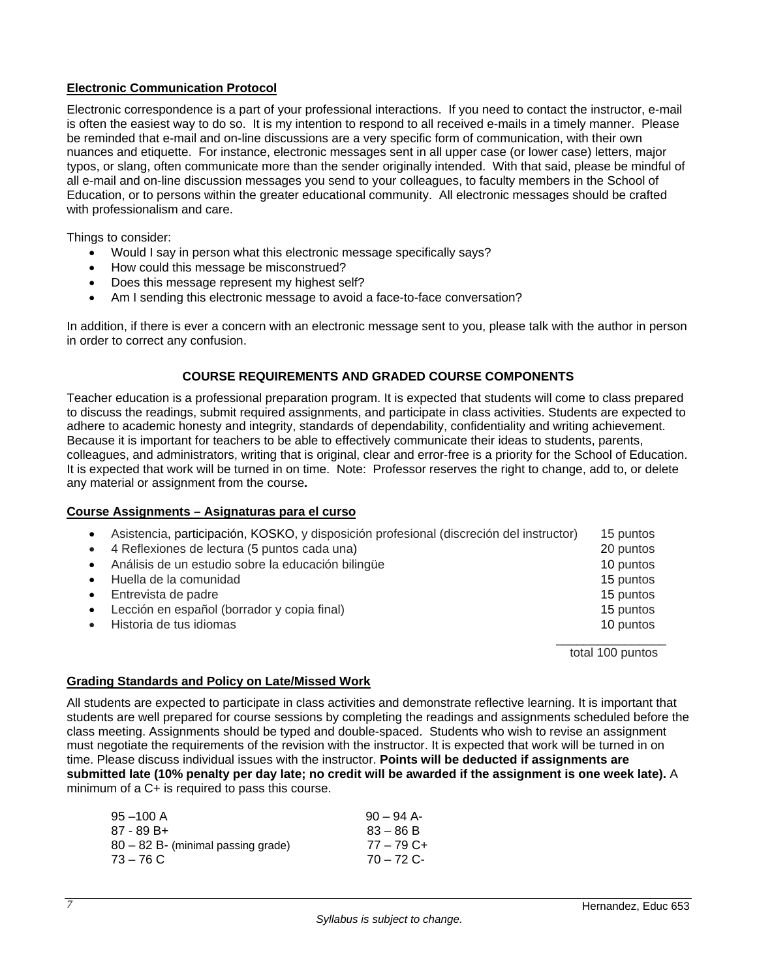## **Electronic Communication Protocol**

Electronic correspondence is a part of your professional interactions. If you need to contact the instructor, e-mail is often the easiest way to do so. It is my intention to respond to all received e-mails in a timely manner. Please be reminded that e-mail and on-line discussions are a very specific form of communication, with their own nuances and etiquette. For instance, electronic messages sent in all upper case (or lower case) letters, major typos, or slang, often communicate more than the sender originally intended. With that said, please be mindful of all e-mail and on-line discussion messages you send to your colleagues, to faculty members in the School of Education, or to persons within the greater educational community. All electronic messages should be crafted with professionalism and care.

Things to consider:

- Would I say in person what this electronic message specifically says?
- How could this message be misconstrued?
- Does this message represent my highest self?
- Am I sending this electronic message to avoid a face-to-face conversation?

In addition, if there is ever a concern with an electronic message sent to you, please talk with the author in person in order to correct any confusion.

## **COURSE REQUIREMENTS AND GRADED COURSE COMPONENTS**

Teacher education is a professional preparation program. It is expected that students will come to class prepared to discuss the readings, submit required assignments, and participate in class activities. Students are expected to adhere to academic honesty and integrity, standards of dependability, confidentiality and writing achievement. Because it is important for teachers to be able to effectively communicate their ideas to students, parents, colleagues, and administrators, writing that is original, clear and error-free is a priority for the School of Education. It is expected that work will be turned in on time. Note: Professor reserves the right to change, add to, or delete any material or assignment from the course*.* 

#### **Course Assignments – Asignaturas para el curso**

| $\bullet$ | Asistencia, participación, KOSKO, y disposición profesional (discreción del instructor) | 15 puntos        |
|-----------|-----------------------------------------------------------------------------------------|------------------|
| $\bullet$ | 4 Reflexiones de lectura (5 puntos cada una)                                            | 20 puntos        |
| $\bullet$ | Análisis de un estudio sobre la educación bilingüe                                      | 10 puntos        |
| $\bullet$ | Huella de la comunidad                                                                  | 15 puntos        |
| $\bullet$ | Entrevista de padre                                                                     | 15 puntos        |
| $\bullet$ | Lección en español (borrador y copia final)                                             | 15 puntos        |
|           | Historia de tus idiomas                                                                 | 10 puntos        |
|           |                                                                                         | total 100 puntos |

#### **Grading Standards and Policy on Late/Missed Work**

All students are expected to participate in class activities and demonstrate reflective learning. It is important that students are well prepared for course sessions by completing the readings and assignments scheduled before the class meeting. Assignments should be typed and double-spaced. Students who wish to revise an assignment must negotiate the requirements of the revision with the instructor. It is expected that work will be turned in on time. Please discuss individual issues with the instructor. **Points will be deducted if assignments are submitted late (10% penalty per day late; no credit will be awarded if the assignment is one week late).** A minimum of a C+ is required to pass this course.

| $95 - 100$ A                         | $90 - 94$ A- |
|--------------------------------------|--------------|
| 87 - 89 B+                           | $83 - 86 B$  |
| $80 - 82$ B- (minimal passing grade) | $77 - 79$ C+ |
| $73 - 76$ C                          | $70 - 72$ C- |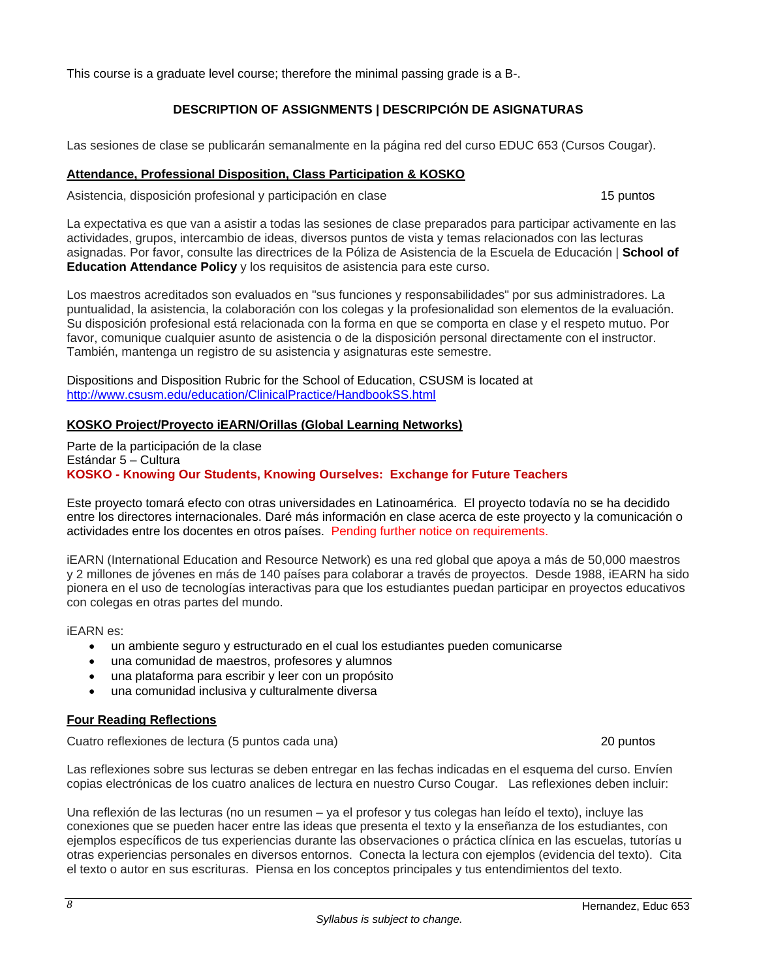This course is a graduate level course; therefore the minimal passing grade is a B-.

## **DESCRIPTION OF ASSIGNMENTS | DESCRIPCIÓN DE ASIGNATURAS**

Las sesiones de clase se publicarán semanalmente en la página red del curso EDUC 653 (Cursos Cougar).

## **Attendance, Professional Disposition, Class Participation & KOSKO**

Asistencia, disposición profesional y participación en clase 15 puntos 15 puntos

La expectativa es que van a asistir a todas las sesiones de clase preparados para participar activamente en las actividades, grupos, intercambio de ideas, diversos puntos de vista y temas relacionados con las lecturas asignadas. Por favor, consulte las directrices de la Póliza de Asistencia de la Escuela de Educación | **School of Education Attendance Policy** y los requisitos de asistencia para este curso.

Los maestros acreditados son evaluados en "sus funciones y responsabilidades" por sus administradores. La puntualidad, la asistencia, la colaboración con los colegas y la profesionalidad son elementos de la evaluación. Su disposición profesional está relacionada con la forma en que se comporta en clase y el respeto mutuo. Por favor, comunique cualquier asunto de asistencia o de la disposición personal directamente con el instructor. También, mantenga un registro de su asistencia y asignaturas este semestre.

Dispositions and Disposition Rubric for the School of Education, CSUSM is located at http://www.csusm.edu/education/ClinicalPractice/HandbookSS.html

## **KOSKO Project/Proyecto iEARN/Orillas (Global Learning Networks)**

Parte de la participación de la clase Estándar 5 – Cultura **KOSKO - Knowing Our Students, Knowing Ourselves: Exchange for Future Teachers** 

Este proyecto tomará efecto con otras universidades en Latinoamérica. El proyecto todavía no se ha decidido entre los directores internacionales. Daré más información en clase acerca de este proyecto y la comunicación o actividades entre los docentes en otros países. Pending further notice on requirements.

iEARN (International Education and Resource Network) es una red global que apoya a más de 50,000 maestros y 2 millones de jóvenes en más de 140 países para colaborar a través de proyectos. Desde 1988, iEARN ha sido pionera en el uso de tecnologías interactivas para que los estudiantes puedan participar en proyectos educativos con colegas en otras partes del mundo.

iEARN es:

- un ambiente seguro y estructurado en el cual los estudiantes pueden comunicarse
- una comunidad de maestros, profesores y alumnos
- una plataforma para escribir y leer con un propósito
- una comunidad inclusiva y culturalmente diversa

## **Four Reading Reflections**

Cuatro reflexiones de lectura (5 puntos cada una) 20 puntos

Las reflexiones sobre sus lecturas se deben entregar en las fechas indicadas en el esquema del curso. Envíen copias electrónicas de los cuatro analices de lectura en nuestro Curso Cougar. Las reflexiones deben incluir:

Una reflexión de las lecturas (no un resumen – ya el profesor y tus colegas han leído el texto), incluye las conexiones que se pueden hacer entre las ideas que presenta el texto y la enseñanza de los estudiantes, con ejemplos específicos de tus experiencias durante las observaciones o práctica clínica en las escuelas, tutorías u otras experiencias personales en diversos entornos. Conecta la lectura con ejemplos (evidencia del texto). Cita el texto o autor en sus escrituras. Piensa en los conceptos principales y tus entendimientos del texto.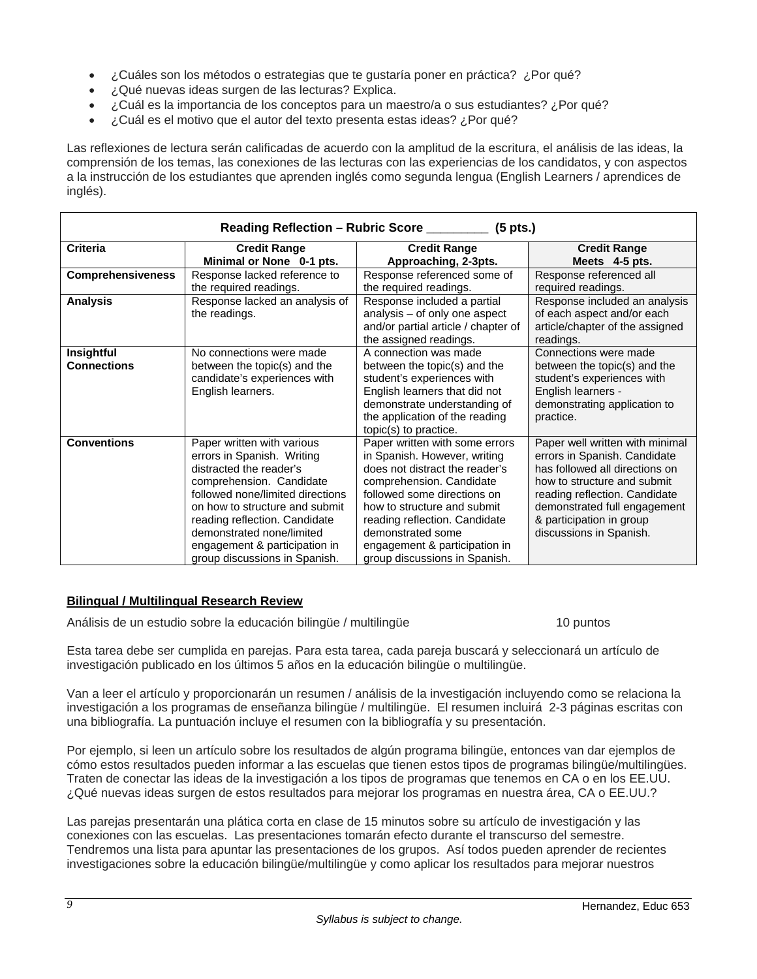- ¿Cuáles son los métodos o estrategias que te gustaría poner en práctica? ¿Por qué?
- ¿Qué nuevas ideas surgen de las lecturas? Explica.
- ¿Cuál es la importancia de los conceptos para un maestro/a o sus estudiantes? ¿Por qué?
- ¿Cuál es el motivo que el autor del texto presenta estas ideas? ¿Por qué?

Las reflexiones de lectura serán calificadas de acuerdo con la amplitud de la escritura, el análisis de las ideas, la comprensión de los temas, las conexiones de las lecturas con las experiencias de los candidatos, y con aspectos a la instrucción de los estudiantes que aprenden inglés como segunda lengua (English Learners / aprendices de inglés).

| Reading Reflection - Rubric Score ________<br>$(5$ pts.) |                                                                                                                                                                                                                                                                                                                       |                                                                                                                                                                                                                                                                                                                    |                                                                                                                                                                                                                                                          |
|----------------------------------------------------------|-----------------------------------------------------------------------------------------------------------------------------------------------------------------------------------------------------------------------------------------------------------------------------------------------------------------------|--------------------------------------------------------------------------------------------------------------------------------------------------------------------------------------------------------------------------------------------------------------------------------------------------------------------|----------------------------------------------------------------------------------------------------------------------------------------------------------------------------------------------------------------------------------------------------------|
| <b>Criteria</b>                                          | <b>Credit Range</b><br>Minimal or None 0-1 pts.                                                                                                                                                                                                                                                                       | <b>Credit Range</b><br>Approaching, 2-3pts.                                                                                                                                                                                                                                                                        | <b>Credit Range</b><br>Meets 4-5 pts.                                                                                                                                                                                                                    |
| <b>Comprehensiveness</b>                                 | Response lacked reference to<br>the required readings.                                                                                                                                                                                                                                                                | Response referenced some of<br>the required readings.                                                                                                                                                                                                                                                              | Response referenced all<br>required readings.                                                                                                                                                                                                            |
| <b>Analysis</b>                                          | Response lacked an analysis of<br>the readings.                                                                                                                                                                                                                                                                       | Response included a partial<br>analysis - of only one aspect<br>and/or partial article / chapter of<br>the assigned readings.                                                                                                                                                                                      | Response included an analysis<br>of each aspect and/or each<br>article/chapter of the assigned<br>readings.                                                                                                                                              |
| Insightful<br><b>Connections</b>                         | No connections were made<br>between the topic(s) and the<br>candidate's experiences with<br>English learners.                                                                                                                                                                                                         | A connection was made<br>between the topic(s) and the<br>student's experiences with<br>English learners that did not<br>demonstrate understanding of<br>the application of the reading<br>topic(s) to practice.                                                                                                    | Connections were made<br>between the topic(s) and the<br>student's experiences with<br>English learners -<br>demonstrating application to<br>practice.                                                                                                   |
| <b>Conventions</b>                                       | Paper written with various<br>errors in Spanish. Writing<br>distracted the reader's<br>comprehension. Candidate<br>followed none/limited directions<br>on how to structure and submit<br>reading reflection. Candidate<br>demonstrated none/limited<br>engagement & participation in<br>group discussions in Spanish. | Paper written with some errors<br>in Spanish. However, writing<br>does not distract the reader's<br>comprehension. Candidate<br>followed some directions on<br>how to structure and submit<br>reading reflection. Candidate<br>demonstrated some<br>engagement & participation in<br>group discussions in Spanish. | Paper well written with minimal<br>errors in Spanish. Candidate<br>has followed all directions on<br>how to structure and submit<br>reading reflection. Candidate<br>demonstrated full engagement<br>& participation in group<br>discussions in Spanish. |

## **Bilingual / Multilingual Research Review**

Análisis de un estudio sobre la educación bilingüe / multilingüe 10 puntos

Esta tarea debe ser cumplida en parejas. Para esta tarea, cada pareja buscará y seleccionará un artículo de investigación publicado en los últimos 5 años en la educación bilingüe o multilingüe.

Van a leer el artículo y proporcionarán un resumen / análisis de la investigación incluyendo como se relaciona la investigación a los programas de enseñanza bilingüe / multilingüe. El resumen incluirá 2-3 páginas escritas con una bibliografía. La puntuación incluye el resumen con la bibliografía y su presentación.

Por ejemplo, si leen un artículo sobre los resultados de algún programa bilingüe, entonces van dar ejemplos de cómo estos resultados pueden informar a las escuelas que tienen estos tipos de programas bilingüe/multilingües. Traten de conectar las ideas de la investigación a los tipos de programas que tenemos en CA o en los EE.UU. ¿Qué nuevas ideas surgen de estos resultados para mejorar los programas en nuestra área, CA o EE.UU.?

Las parejas presentarán una plática corta en clase de 15 minutos sobre su artículo de investigación y las conexiones con las escuelas. Las presentaciones tomarán efecto durante el transcurso del semestre. Tendremos una lista para apuntar las presentaciones de los grupos. Así todos pueden aprender de recientes investigaciones sobre la educación bilingüe/multilingüe y como aplicar los resultados para mejorar nuestros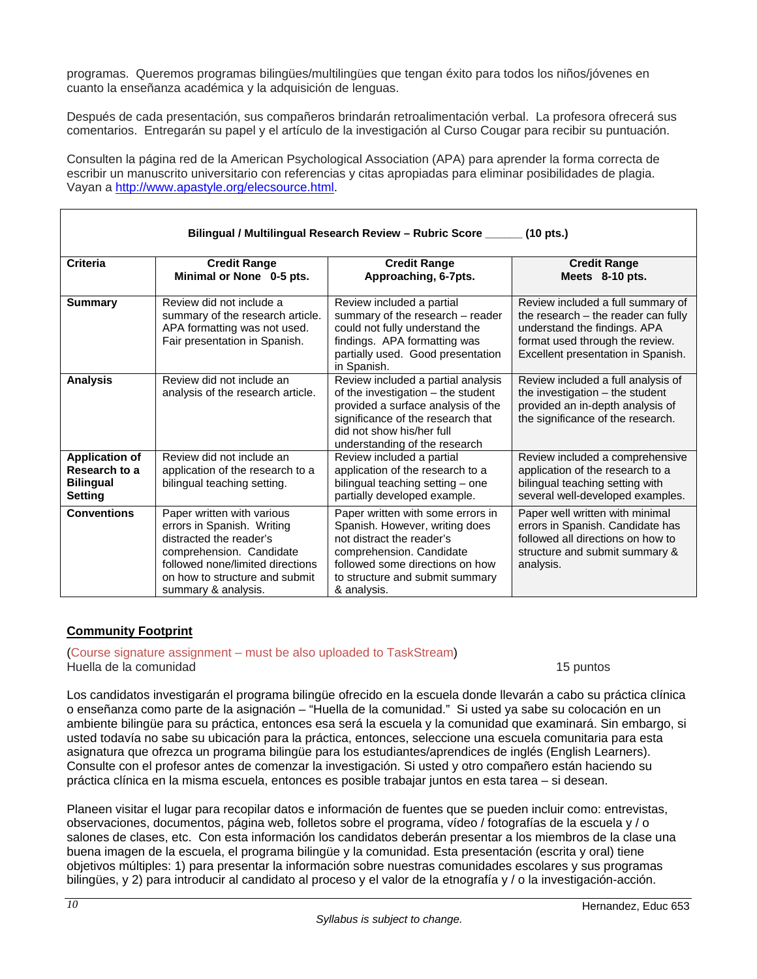programas. Queremos programas bilingües/multilingües que tengan éxito para todos los niños/jóvenes en cuanto la enseñanza académica y la adquisición de lenguas.

Después de cada presentación, sus compañeros brindarán retroalimentación verbal. La profesora ofrecerá sus comentarios. Entregarán su papel y el artículo de la investigación al Curso Cougar para recibir su puntuación.

Consulten la página red de la American Psychological Association (APA) para aprender la forma correcta de escribir un manuscrito universitario con referencias y citas apropiadas para eliminar posibilidades de plagia. Vayan a http://www.apastyle.org/elecsource.html.

|                                                                              | Bilingual / Multilingual Research Review - Rubric Score ______<br>$(10 \text{ pts.})$                                                                                                                                             |                                                                                                                                                                                                                   |                                                                                                                                                                                   |  |
|------------------------------------------------------------------------------|-----------------------------------------------------------------------------------------------------------------------------------------------------------------------------------------------------------------------------------|-------------------------------------------------------------------------------------------------------------------------------------------------------------------------------------------------------------------|-----------------------------------------------------------------------------------------------------------------------------------------------------------------------------------|--|
| Criteria                                                                     | <b>Credit Range</b><br>Minimal or None 0-5 pts.                                                                                                                                                                                   | <b>Credit Range</b><br>Approaching, 6-7pts.                                                                                                                                                                       | <b>Credit Range</b><br>Meets 8-10 pts.                                                                                                                                            |  |
| <b>Summary</b>                                                               | Review did not include a<br>summary of the research article.<br>APA formatting was not used.<br>Fair presentation in Spanish.                                                                                                     | Review included a partial<br>summary of the research - reader<br>could not fully understand the<br>findings. APA formatting was<br>partially used. Good presentation<br>in Spanish.                               | Review included a full summary of<br>the research – the reader can fully<br>understand the findings. APA<br>format used through the review.<br>Excellent presentation in Spanish. |  |
| <b>Analysis</b>                                                              | Review did not include an<br>analysis of the research article.                                                                                                                                                                    | Review included a partial analysis<br>of the investigation – the student<br>provided a surface analysis of the<br>significance of the research that<br>did not show his/her full<br>understanding of the research | Review included a full analysis of<br>the investigation $-$ the student<br>provided an in-depth analysis of<br>the significance of the research.                                  |  |
| <b>Application of</b><br>Research to a<br><b>Bilingual</b><br><b>Setting</b> | Review did not include an<br>Review included a partial<br>application of the research to a<br>application of the research to a<br>bilingual teaching setting.<br>bilingual teaching setting - one<br>partially developed example. |                                                                                                                                                                                                                   | Review included a comprehensive<br>application of the research to a<br>bilingual teaching setting with<br>several well-developed examples.                                        |  |
| <b>Conventions</b>                                                           | Paper written with various<br>errors in Spanish. Writing<br>distracted the reader's<br>comprehension. Candidate<br>followed none/limited directions<br>on how to structure and submit<br>summary & analysis.                      | Paper written with some errors in<br>Spanish. However, writing does<br>not distract the reader's<br>comprehension. Candidate<br>followed some directions on how<br>to structure and submit summary<br>& analysis. | Paper well written with minimal<br>errors in Spanish. Candidate has<br>followed all directions on how to<br>structure and submit summary &<br>analysis.                           |  |

## **Community Footprint**

(Course signature assignment – must be also uploaded to TaskStream) Huella de la comunidad 15 puntos

Los candidatos investigarán el programa bilingüe ofrecido en la escuela donde llevarán a cabo su práctica clínica o enseñanza como parte de la asignación – "Huella de la comunidad." Si usted ya sabe su colocación en un ambiente bilingüe para su práctica, entonces esa será la escuela y la comunidad que examinará. Sin embargo, si usted todavía no sabe su ubicación para la práctica, entonces, seleccione una escuela comunitaria para esta asignatura que ofrezca un programa bilingüe para los estudiantes/aprendices de inglés (English Learners). Consulte con el profesor antes de comenzar la investigación. Si usted y otro compañero están haciendo su práctica clínica en la misma escuela, entonces es posible trabajar juntos en esta tarea – si desean.

Planeen visitar el lugar para recopilar datos e información de fuentes que se pueden incluir como: entrevistas, observaciones, documentos, página web, folletos sobre el programa, vídeo / fotografías de la escuela y / o salones de clases, etc. Con esta información los candidatos deberán presentar a los miembros de la clase una buena imagen de la escuela, el programa bilingüe y la comunidad. Esta presentación (escrita y oral) tiene objetivos múltiples: 1) para presentar la información sobre nuestras comunidades escolares y sus programas bilingües, y 2) para introducir al candidato al proceso y el valor de la etnografía y / o la investigación-acción.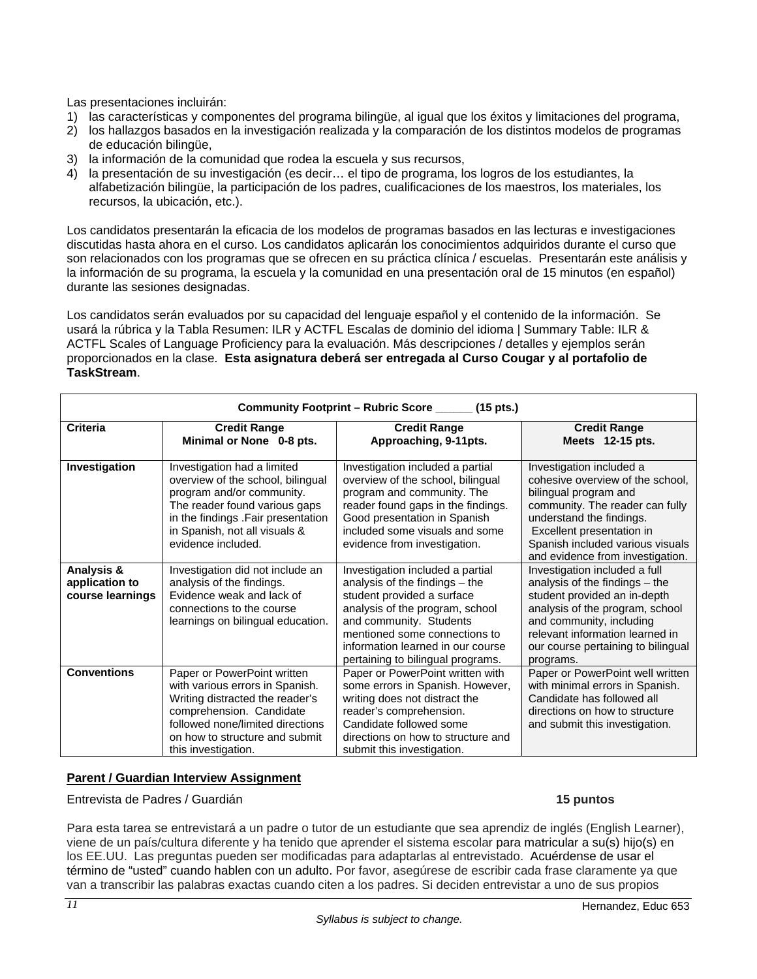Las presentaciones incluirán:

- 1) las características y componentes del programa bilingüe, al igual que los éxitos y limitaciones del programa,
- 2) los hallazgos basados en la investigación realizada y la comparación de los distintos modelos de programas de educación bilingüe,
- 3) la información de la comunidad que rodea la escuela y sus recursos,
- 4) la presentación de su investigación (es decir… el tipo de programa, los logros de los estudiantes, la alfabetización bilingüe, la participación de los padres, cualificaciones de los maestros, los materiales, los recursos, la ubicación, etc.).

Los candidatos presentarán la eficacia de los modelos de programas basados en las lecturas e investigaciones discutidas hasta ahora en el curso. Los candidatos aplicarán los conocimientos adquiridos durante el curso que son relacionados con los programas que se ofrecen en su práctica clínica / escuelas. Presentarán este análisis y la información de su programa, la escuela y la comunidad en una presentación oral de 15 minutos (en español) durante las sesiones designadas.

Los candidatos serán evaluados por su capacidad del lenguaje español y el contenido de la información. Se usará la rúbrica y la Tabla Resumen: ILR y ACTFL Escalas de dominio del idioma | Summary Table: ILR & ACTFL Scales of Language Proficiency para la evaluación. Más descripciones / detalles y ejemplos serán proporcionados en la clase. **Esta asignatura deberá ser entregada al Curso Cougar y al portafolio de TaskStream**.

|                                                  | Community Footprint - Rubric Score ______ (15 pts.)                                                                                                                                                                         |                                                                                                                                                                                                                                                                           |                                                                                                                                                                                                                                                           |  |
|--------------------------------------------------|-----------------------------------------------------------------------------------------------------------------------------------------------------------------------------------------------------------------------------|---------------------------------------------------------------------------------------------------------------------------------------------------------------------------------------------------------------------------------------------------------------------------|-----------------------------------------------------------------------------------------------------------------------------------------------------------------------------------------------------------------------------------------------------------|--|
| <b>Criteria</b>                                  | <b>Credit Range</b><br><b>Credit Range</b><br>Minimal or None 0-8 pts.<br>Approaching, 9-11pts.                                                                                                                             |                                                                                                                                                                                                                                                                           | <b>Credit Range</b><br>Meets 12-15 pts.                                                                                                                                                                                                                   |  |
| Investigation                                    | Investigation had a limited<br>overview of the school, bilingual<br>program and/or community.<br>The reader found various gaps<br>in the findings .Fair presentation<br>in Spanish, not all visuals &<br>evidence included. | Investigation included a partial<br>overview of the school, bilingual<br>program and community. The<br>reader found gaps in the findings.<br>Good presentation in Spanish<br>included some visuals and some<br>evidence from investigation.                               | Investigation included a<br>cohesive overview of the school,<br>bilingual program and<br>community. The reader can fully<br>understand the findings.<br>Excellent presentation in<br>Spanish included various visuals<br>and evidence from investigation. |  |
| Analysis &<br>application to<br>course learnings | Investigation did not include an<br>analysis of the findings.<br>Evidence weak and lack of<br>connections to the course<br>learnings on bilingual education.                                                                | Investigation included a partial<br>analysis of the findings – the<br>student provided a surface<br>analysis of the program, school<br>and community. Students<br>mentioned some connections to<br>information learned in our course<br>pertaining to bilingual programs. | Investigation included a full<br>analysis of the findings - the<br>student provided an in-depth<br>analysis of the program, school<br>and community, including<br>relevant information learned in<br>our course pertaining to bilingual<br>programs.      |  |
| <b>Conventions</b>                               | Paper or PowerPoint written<br>with various errors in Spanish.<br>Writing distracted the reader's<br>comprehension. Candidate<br>followed none/limited directions<br>on how to structure and submit<br>this investigation.  | Paper or PowerPoint written with<br>some errors in Spanish. However,<br>writing does not distract the<br>reader's comprehension.<br>Candidate followed some<br>directions on how to structure and<br>submit this investigation.                                           | Paper or PowerPoint well written<br>with minimal errors in Spanish.<br>Candidate has followed all<br>directions on how to structure<br>and submit this investigation.                                                                                     |  |

## **Parent / Guardian Interview Assignment**

Entrevista de Padres / Guardián **15 puntos** 

Para esta tarea se entrevistará a un padre o tutor de un estudiante que sea aprendiz de inglés (English Learner), viene de un país/cultura diferente y ha tenido que aprender el sistema escolar para matricular a su(s) hijo(s) en los EE.UU. Las preguntas pueden ser modificadas para adaptarlas al entrevistado. Acuérdense de usar el término de "usted" cuando hablen con un adulto. Por favor, asegúrese de escribir cada frase claramente ya que van a transcribir las palabras exactas cuando citen a los padres. Si deciden entrevistar a uno de sus propios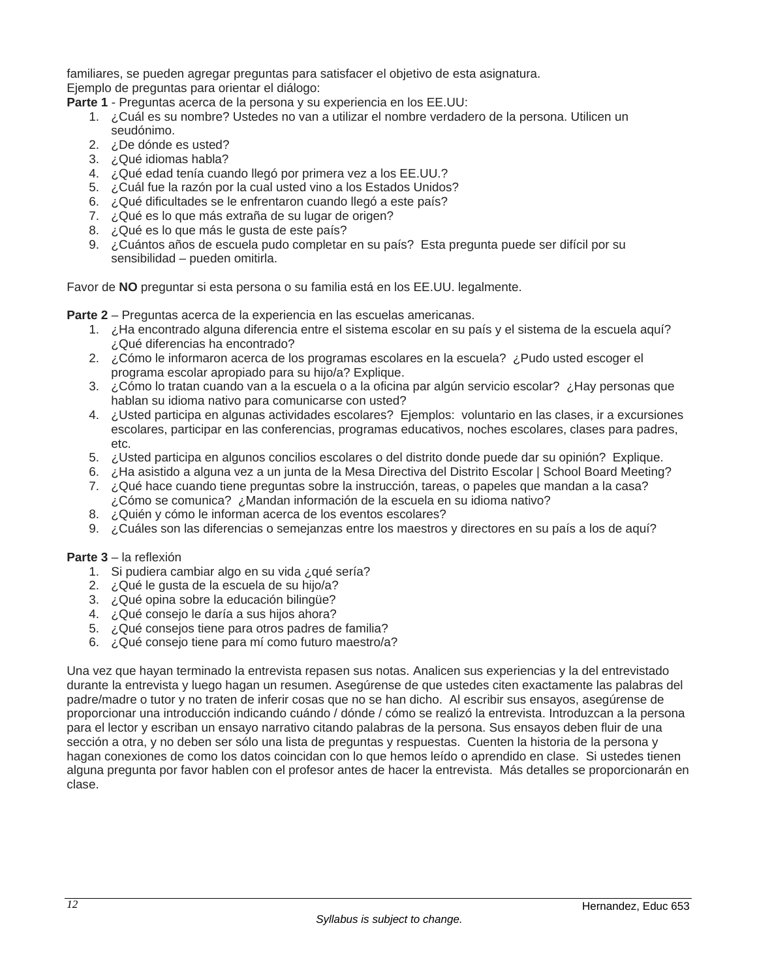familiares, se pueden agregar preguntas para satisfacer el objetivo de esta asignatura.

Ejemplo de preguntas para orientar el diálogo:

- **Parte 1** Preguntas acerca de la persona y su experiencia en los EE.UU:
	- 1. ¿Cuál es su nombre? Ustedes no van a utilizar el nombre verdadero de la persona. Utilicen un seudónimo.
	- 2. ¿De dónde es usted?
	- 3. ¿Qué idiomas habla?
	- 4. ¿Qué edad tenía cuando llegó por primera vez a los EE.UU.?
	- 5. ¿Cuál fue la razón por la cual usted vino a los Estados Unidos?
	- 6. ¿Qué dificultades se le enfrentaron cuando llegó a este país?
	- 7. ¿Qué es lo que más extraña de su lugar de origen?
	- 8. ¿Qué es lo que más le gusta de este país?
	- 9. ¿Cuántos años de escuela pudo completar en su país? Esta pregunta puede ser difícil por su sensibilidad – pueden omitirla.

Favor de **NO** preguntar si esta persona o su familia está en los EE.UU. legalmente.

**Parte 2** – Preguntas acerca de la experiencia en las escuelas americanas.

- 1. ¿Ha encontrado alguna diferencia entre el sistema escolar en su país y el sistema de la escuela aquí? ¿Qué diferencias ha encontrado?
- 2. ¿Cómo le informaron acerca de los programas escolares en la escuela? ¿Pudo usted escoger el programa escolar apropiado para su hijo/a? Explique.
- 3. ¿Cómo lo tratan cuando van a la escuela o a la oficina par algún servicio escolar? ¿Hay personas que hablan su idioma nativo para comunicarse con usted?
- 4. ¿Usted participa en algunas actividades escolares? Ejemplos: voluntario en las clases, ir a excursiones escolares, participar en las conferencias, programas educativos, noches escolares, clases para padres, etc.
- 5. ¿Usted participa en algunos concilios escolares o del distrito donde puede dar su opinión? Explique.
- 6. ¿Ha asistido a alguna vez a un junta de la Mesa Directiva del Distrito Escolar | School Board Meeting?
- 7. ¿Qué hace cuando tiene preguntas sobre la instrucción, tareas, o papeles que mandan a la casa? ¿Cómo se comunica? ¿Mandan información de la escuela en su idioma nativo?
- 8. ¿Quién y cómo le informan acerca de los eventos escolares?
- 9. ¿Cuáles son las diferencias o semejanzas entre los maestros y directores en su país a los de aquí?

## **Parte 3** – la reflexión

- 1. Si pudiera cambiar algo en su vida ¿qué sería?
- 2. ¿Qué le gusta de la escuela de su hijo/a?
- 3. ¿Qué opina sobre la educación bilingüe?
- 4. ¿Qué consejo le daría a sus hijos ahora?
- 5. ¿Qué consejos tiene para otros padres de familia?
- 6. ¿Qué consejo tiene para mí como futuro maestro/a?

Una vez que hayan terminado la entrevista repasen sus notas. Analicen sus experiencias y la del entrevistado durante la entrevista y luego hagan un resumen. Asegúrense de que ustedes citen exactamente las palabras del padre/madre o tutor y no traten de inferir cosas que no se han dicho. Al escribir sus ensayos, asegúrense de proporcionar una introducción indicando cuándo / dónde / cómo se realizó la entrevista. Introduzcan a la persona para el lector y escriban un ensayo narrativo citando palabras de la persona. Sus ensayos deben fluir de una sección a otra, y no deben ser sólo una lista de preguntas y respuestas. Cuenten la historia de la persona y hagan conexiones de como los datos coincidan con lo que hemos leído o aprendido en clase. Si ustedes tienen alguna pregunta por favor hablen con el profesor antes de hacer la entrevista. Más detalles se proporcionarán en clase.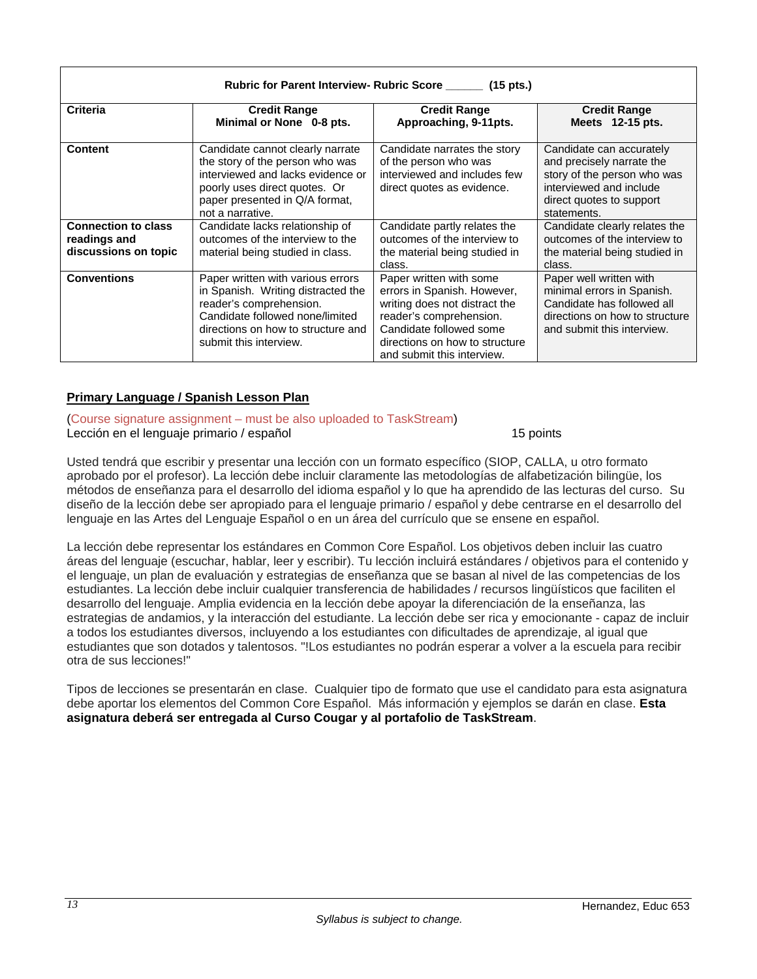| Rubric for Parent Interview- Rubric Score ______ (15 pts.)         |                                                                                                                                                                                                       |                                                                                                                                                                                                               |                                                                                                                                                            |  |
|--------------------------------------------------------------------|-------------------------------------------------------------------------------------------------------------------------------------------------------------------------------------------------------|---------------------------------------------------------------------------------------------------------------------------------------------------------------------------------------------------------------|------------------------------------------------------------------------------------------------------------------------------------------------------------|--|
| Criteria                                                           | <b>Credit Range</b><br>Minimal or None 0-8 pts.                                                                                                                                                       | <b>Credit Range</b><br>Approaching, 9-11pts.                                                                                                                                                                  | <b>Credit Range</b><br>Meets 12-15 pts.                                                                                                                    |  |
| <b>Content</b>                                                     | Candidate cannot clearly narrate<br>the story of the person who was<br>interviewed and lacks evidence or<br>poorly uses direct quotes. Or<br>paper presented in Q/A format,<br>not a narrative.       | Candidate narrates the story<br>of the person who was<br>interviewed and includes few<br>direct quotes as evidence.                                                                                           | Candidate can accurately<br>and precisely narrate the<br>story of the person who was<br>interviewed and include<br>direct quotes to support<br>statements. |  |
| <b>Connection to class</b><br>readings and<br>discussions on topic | Candidate lacks relationship of<br>outcomes of the interview to the<br>material being studied in class.                                                                                               | Candidate partly relates the<br>outcomes of the interview to<br>the material being studied in<br>class.                                                                                                       | Candidate clearly relates the<br>outcomes of the interview to<br>the material being studied in<br>class.                                                   |  |
| <b>Conventions</b>                                                 | Paper written with various errors<br>in Spanish. Writing distracted the<br>reader's comprehension.<br>Candidate followed none/limited<br>directions on how to structure and<br>submit this interview. | Paper written with some<br>errors in Spanish. However,<br>writing does not distract the<br>reader's comprehension.<br>Candidate followed some<br>directions on how to structure<br>and submit this interview. | Paper well written with<br>minimal errors in Spanish.<br>Candidate has followed all<br>directions on how to structure<br>and submit this interview.        |  |

## **Primary Language / Spanish Lesson Plan**

(Course signature assignment – must be also uploaded to TaskStream) Lección en el lenguaje primario / español 15 points 15 points

Usted tendrá que escribir y presentar una lección con un formato específico (SIOP, CALLA, u otro formato aprobado por el profesor). La lección debe incluir claramente las metodologías de alfabetización bilingüe, los métodos de enseñanza para el desarrollo del idioma español y lo que ha aprendido de las lecturas del curso. Su diseño de la lección debe ser apropiado para el lenguaje primario / español y debe centrarse en el desarrollo del lenguaje en las Artes del Lenguaje Español o en un área del currículo que se ensene en español.

La lección debe representar los estándares en Common Core Español. Los objetivos deben incluir las cuatro áreas del lenguaje (escuchar, hablar, leer y escribir). Tu lección incluirá estándares / objetivos para el contenido y el lenguaje, un plan de evaluación y estrategias de enseñanza que se basan al nivel de las competencias de los estudiantes. La lección debe incluir cualquier transferencia de habilidades / recursos lingüísticos que faciliten el desarrollo del lenguaje. Amplia evidencia en la lección debe apoyar la diferenciación de la enseñanza, las estrategias de andamios, y la interacción del estudiante. La lección debe ser rica y emocionante - capaz de incluir a todos los estudiantes diversos, incluyendo a los estudiantes con dificultades de aprendizaje, al igual que estudiantes que son dotados y talentosos. "!Los estudiantes no podrán esperar a volver a la escuela para recibir otra de sus lecciones!"

Tipos de lecciones se presentarán en clase. Cualquier tipo de formato que use el candidato para esta asignatura debe aportar los elementos del Common Core Español. Más información y ejemplos se darán en clase. **Esta asignatura deberá ser entregada al Curso Cougar y al portafolio de TaskStream**.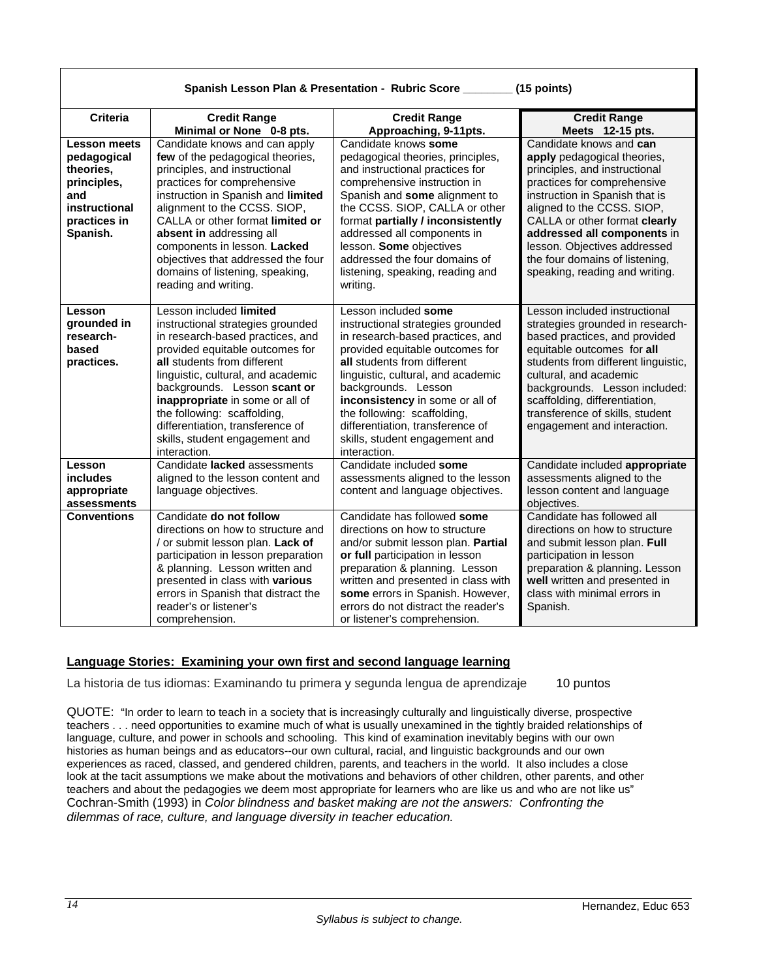|                                                                                                             | Spanish Lesson Plan & Presentation - Rubric Score ______<br>(15 points)                                                                                                                                                                                                                                                                                                                                  |                                                                                                                                                                                                                                                                                                                                                                                      |                                                                                                                                                                                                                                                                                                                                                            |
|-------------------------------------------------------------------------------------------------------------|----------------------------------------------------------------------------------------------------------------------------------------------------------------------------------------------------------------------------------------------------------------------------------------------------------------------------------------------------------------------------------------------------------|--------------------------------------------------------------------------------------------------------------------------------------------------------------------------------------------------------------------------------------------------------------------------------------------------------------------------------------------------------------------------------------|------------------------------------------------------------------------------------------------------------------------------------------------------------------------------------------------------------------------------------------------------------------------------------------------------------------------------------------------------------|
| <b>Criteria</b>                                                                                             | <b>Credit Range</b><br>Minimal or None 0-8 pts.                                                                                                                                                                                                                                                                                                                                                          | <b>Credit Range</b><br>Approaching, 9-11pts.                                                                                                                                                                                                                                                                                                                                         | <b>Credit Range</b><br>Meets 12-15 pts.                                                                                                                                                                                                                                                                                                                    |
| Lesson meets<br>pedagogical<br>theories,<br>principles,<br>and<br>instructional<br>practices in<br>Spanish. | Candidate knows and can apply<br>few of the pedagogical theories,<br>principles, and instructional<br>practices for comprehensive<br>instruction in Spanish and limited<br>alignment to the CCSS. SIOP,<br>CALLA or other format limited or<br>absent in addressing all<br>components in lesson. Lacked<br>objectives that addressed the four<br>domains of listening, speaking,<br>reading and writing. | Candidate knows some<br>pedagogical theories, principles,<br>and instructional practices for<br>comprehensive instruction in<br>Spanish and some alignment to<br>the CCSS. SIOP, CALLA or other<br>format partially / inconsistently<br>addressed all components in<br>lesson. Some objectives<br>addressed the four domains of<br>listening, speaking, reading and<br>writing.      | Candidate knows and can<br>apply pedagogical theories,<br>principles, and instructional<br>practices for comprehensive<br>instruction in Spanish that is<br>aligned to the CCSS. SIOP,<br>CALLA or other format clearly<br>addressed all components in<br>lesson. Objectives addressed<br>the four domains of listening,<br>speaking, reading and writing. |
| Lesson<br>grounded in<br>research-<br>based<br>practices.                                                   | Lesson included limited<br>instructional strategies grounded<br>in research-based practices, and<br>provided equitable outcomes for<br>all students from different<br>linguistic, cultural, and academic<br>backgrounds. Lesson scant or<br>inappropriate in some or all of<br>the following: scaffolding,<br>differentiation, transference of<br>skills, student engagement and<br>interaction.         | Lesson included some<br>instructional strategies grounded<br>in research-based practices, and<br>provided equitable outcomes for<br>all students from different<br>linguistic, cultural, and academic<br>backgrounds. Lesson<br>inconsistency in some or all of<br>the following: scaffolding,<br>differentiation, transference of<br>skills, student engagement and<br>interaction. | Lesson included instructional<br>strategies grounded in research-<br>based practices, and provided<br>equitable outcomes for all<br>students from different linguistic,<br>cultural, and academic<br>backgrounds. Lesson included:<br>scaffolding, differentiation,<br>transference of skills, student<br>engagement and interaction.                      |
| Lesson<br><i>includes</i><br>appropriate<br>assessments                                                     | Candidate lacked assessments<br>aligned to the lesson content and<br>language objectives.                                                                                                                                                                                                                                                                                                                | Candidate included some<br>assessments aligned to the lesson<br>content and language objectives.                                                                                                                                                                                                                                                                                     | Candidate included appropriate<br>assessments aligned to the<br>lesson content and language<br>objectives.                                                                                                                                                                                                                                                 |
| <b>Conventions</b>                                                                                          | Candidate do not follow<br>directions on how to structure and<br>/ or submit lesson plan. Lack of<br>participation in lesson preparation<br>& planning. Lesson written and<br>presented in class with various<br>errors in Spanish that distract the<br>reader's or listener's<br>comprehension.                                                                                                         | Candidate has followed some<br>directions on how to structure<br>and/or submit lesson plan. Partial<br>or full participation in lesson<br>preparation & planning. Lesson<br>written and presented in class with<br>some errors in Spanish. However,<br>errors do not distract the reader's<br>or listener's comprehension.                                                           | Candidate has followed all<br>directions on how to structure<br>and submit lesson plan. Full<br>participation in lesson<br>preparation & planning. Lesson<br>well written and presented in<br>class with minimal errors in<br>Spanish.                                                                                                                     |

## **Language Stories: Examining your own first and second language learning**

La historia de tus idiomas: Examinando tu primera y segunda lengua de aprendizaje 10 puntos

QUOTE: "In order to learn to teach in a society that is increasingly culturally and linguistically diverse, prospective teachers . . . need opportunities to examine much of what is usually unexamined in the tightly braided relationships of language, culture, and power in schools and schooling. This kind of examination inevitably begins with our own histories as human beings and as educators--our own cultural, racial, and linguistic backgrounds and our own experiences as raced, classed, and gendered children, parents, and teachers in the world. It also includes a close look at the tacit assumptions we make about the motivations and behaviors of other children, other parents, and other teachers and about the pedagogies we deem most appropriate for learners who are like us and who are not like us" Cochran-Smith (1993) in *Color blindness and basket making are not the answers: Confronting the dilemmas of race, culture, and language diversity in teacher education.*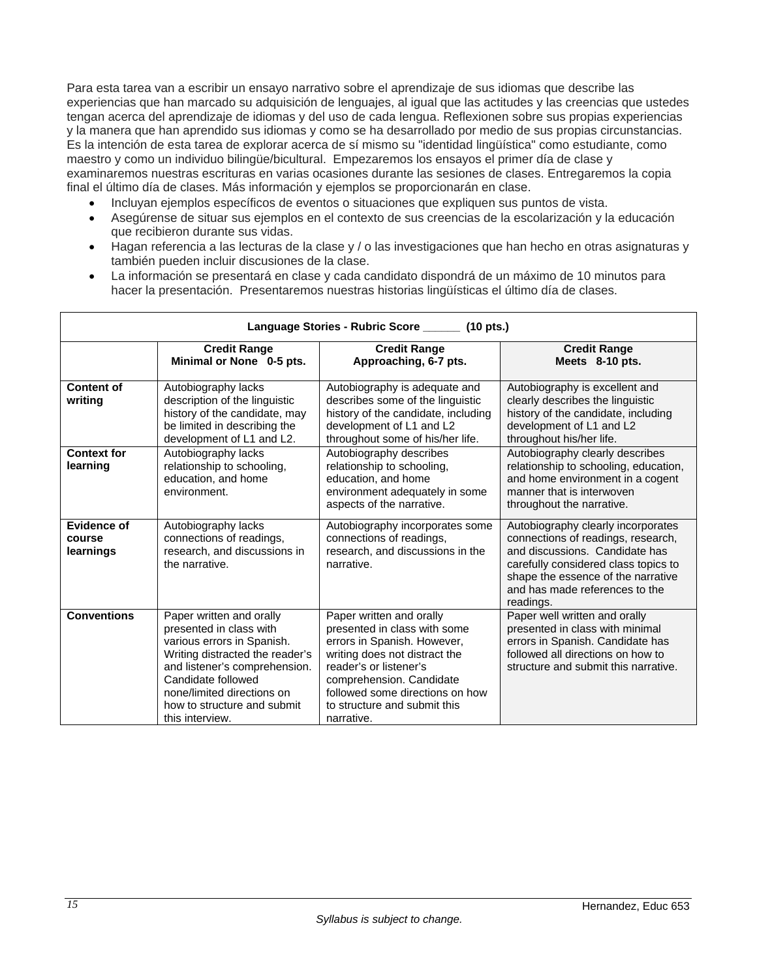Para esta tarea van a escribir un ensayo narrativo sobre el aprendizaje de sus idiomas que describe las experiencias que han marcado su adquisición de lenguajes, al igual que las actitudes y las creencias que ustedes tengan acerca del aprendizaje de idiomas y del uso de cada lengua. Reflexionen sobre sus propias experiencias y la manera que han aprendido sus idiomas y como se ha desarrollado por medio de sus propias circunstancias. Es la intención de esta tarea de explorar acerca de sí mismo su "identidad lingüística" como estudiante, como maestro y como un individuo bilingüe/bicultural. Empezaremos los ensayos el primer día de clase y examinaremos nuestras escrituras en varias ocasiones durante las sesiones de clases. Entregaremos la copia final el último día de clases. Más información y ejemplos se proporcionarán en clase.

- Incluyan ejemplos específicos de eventos o situaciones que expliquen sus puntos de vista.
- Asegúrense de situar sus ejemplos en el contexto de sus creencias de la escolarización y la educación que recibieron durante sus vidas.
- Hagan referencia a las lecturas de la clase y / o las investigaciones que han hecho en otras asignaturas y también pueden incluir discusiones de la clase.
- La información se presentará en clase y cada candidato dispondrá de un máximo de 10 minutos para hacer la presentación. Presentaremos nuestras historias lingüísticas el último día de clases.

|                                                                                                 | Language Stories - Rubric Score _______ (10 pts.)                                                                                                                                                                                                           |                                                                                                                                                                                                                                                                 |                                                                                                                                                                                                                                         |  |
|-------------------------------------------------------------------------------------------------|-------------------------------------------------------------------------------------------------------------------------------------------------------------------------------------------------------------------------------------------------------------|-----------------------------------------------------------------------------------------------------------------------------------------------------------------------------------------------------------------------------------------------------------------|-----------------------------------------------------------------------------------------------------------------------------------------------------------------------------------------------------------------------------------------|--|
| <b>Credit Range</b><br><b>Credit Range</b><br>Minimal or None 0-5 pts.<br>Approaching, 6-7 pts. |                                                                                                                                                                                                                                                             | <b>Credit Range</b><br>Meets 8-10 pts.                                                                                                                                                                                                                          |                                                                                                                                                                                                                                         |  |
| <b>Content of</b><br>writing                                                                    | Autobiography lacks<br>description of the linguistic<br>history of the candidate, may<br>be limited in describing the<br>development of L1 and L2.                                                                                                          | Autobiography is adequate and<br>describes some of the linguistic<br>history of the candidate, including<br>development of L1 and L2<br>throughout some of his/her life.                                                                                        | Autobiography is excellent and<br>clearly describes the linguistic<br>history of the candidate, including<br>development of L1 and L2<br>throughout his/her life.                                                                       |  |
| <b>Context for</b><br>learning                                                                  | Autobiography lacks<br>relationship to schooling,<br>education, and home<br>environment.                                                                                                                                                                    | Autobiography describes<br>relationship to schooling,<br>education, and home<br>environment adequately in some<br>aspects of the narrative.                                                                                                                     | Autobiography clearly describes<br>relationship to schooling, education,<br>and home environment in a cogent<br>manner that is interwoven<br>throughout the narrative.                                                                  |  |
| Evidence of<br>course<br>learnings                                                              | Autobiography lacks<br>connections of readings,<br>research, and discussions in<br>the narrative.                                                                                                                                                           | Autobiography incorporates some<br>connections of readings,<br>research, and discussions in the<br>narrative.                                                                                                                                                   | Autobiography clearly incorporates<br>connections of readings, research,<br>and discussions. Candidate has<br>carefully considered class topics to<br>shape the essence of the narrative<br>and has made references to the<br>readings. |  |
| <b>Conventions</b>                                                                              | Paper written and orally<br>presented in class with<br>various errors in Spanish.<br>Writing distracted the reader's<br>and listener's comprehension.<br>Candidate followed<br>none/limited directions on<br>how to structure and submit<br>this interview. | Paper written and orally<br>presented in class with some<br>errors in Spanish. However,<br>writing does not distract the<br>reader's or listener's<br>comprehension. Candidate<br>followed some directions on how<br>to structure and submit this<br>narrative. | Paper well written and orally<br>presented in class with minimal<br>errors in Spanish. Candidate has<br>followed all directions on how to<br>structure and submit this narrative.                                                       |  |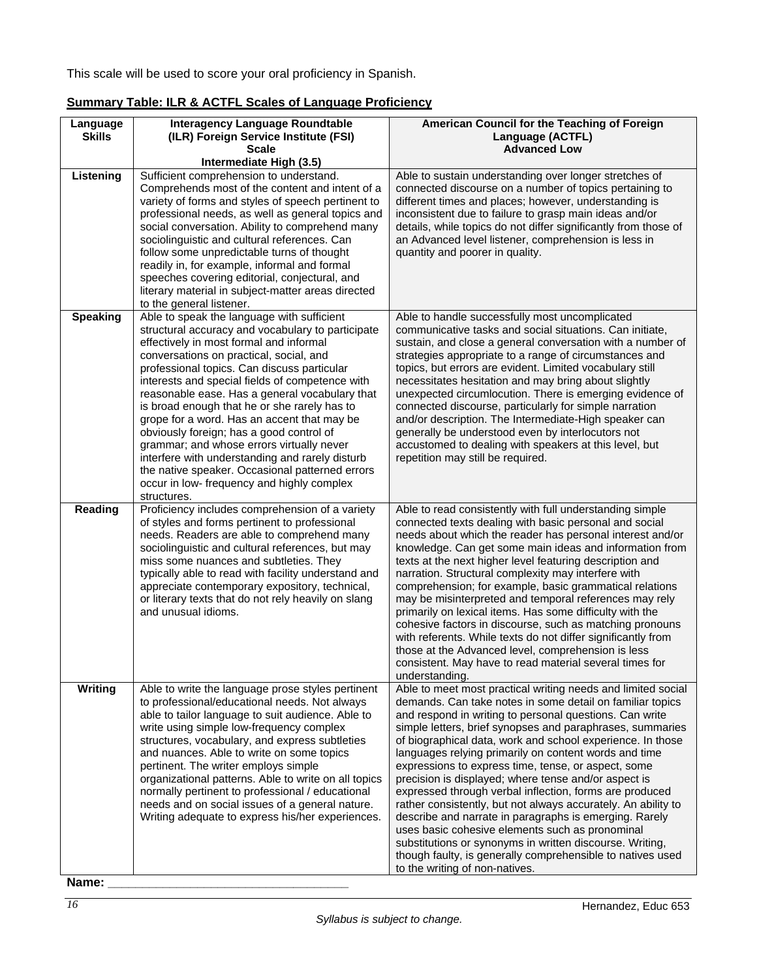This scale will be used to score your oral proficiency in Spanish.

| Language<br><b>Skills</b> | <b>Interagency Language Roundtable</b><br>(ILR) Foreign Service Institute (FSI)                                                                                                                                                                                                                                                                                                                                                                                                                                                                                                                                                                                                                      | American Council for the Teaching of Foreign<br>Language (ACTFL)                                                                                                                                                                                                                                                                                                                                                                                                                                                                                                                                                                                                                                                                                                                                                                                                                             |
|---------------------------|------------------------------------------------------------------------------------------------------------------------------------------------------------------------------------------------------------------------------------------------------------------------------------------------------------------------------------------------------------------------------------------------------------------------------------------------------------------------------------------------------------------------------------------------------------------------------------------------------------------------------------------------------------------------------------------------------|----------------------------------------------------------------------------------------------------------------------------------------------------------------------------------------------------------------------------------------------------------------------------------------------------------------------------------------------------------------------------------------------------------------------------------------------------------------------------------------------------------------------------------------------------------------------------------------------------------------------------------------------------------------------------------------------------------------------------------------------------------------------------------------------------------------------------------------------------------------------------------------------|
|                           | <b>Scale</b><br>Intermediate High (3.5)                                                                                                                                                                                                                                                                                                                                                                                                                                                                                                                                                                                                                                                              | <b>Advanced Low</b>                                                                                                                                                                                                                                                                                                                                                                                                                                                                                                                                                                                                                                                                                                                                                                                                                                                                          |
| Listening                 | Sufficient comprehension to understand.<br>Comprehends most of the content and intent of a<br>variety of forms and styles of speech pertinent to<br>professional needs, as well as general topics and<br>social conversation. Ability to comprehend many<br>sociolinguistic and cultural references. Can<br>follow some unpredictable turns of thought<br>readily in, for example, informal and formal<br>speeches covering editorial, conjectural, and<br>literary material in subject-matter areas directed<br>to the general listener.                                                                                                                                                            | Able to sustain understanding over longer stretches of<br>connected discourse on a number of topics pertaining to<br>different times and places; however, understanding is<br>inconsistent due to failure to grasp main ideas and/or<br>details, while topics do not differ significantly from those of<br>an Advanced level listener, comprehension is less in<br>quantity and poorer in quality.                                                                                                                                                                                                                                                                                                                                                                                                                                                                                           |
| <b>Speaking</b>           | Able to speak the language with sufficient<br>structural accuracy and vocabulary to participate<br>effectively in most formal and informal<br>conversations on practical, social, and<br>professional topics. Can discuss particular<br>interests and special fields of competence with<br>reasonable ease. Has a general vocabulary that<br>is broad enough that he or she rarely has to<br>grope for a word. Has an accent that may be<br>obviously foreign; has a good control of<br>grammar; and whose errors virtually never<br>interfere with understanding and rarely disturb<br>the native speaker. Occasional patterned errors<br>occur in low- frequency and highly complex<br>structures. | Able to handle successfully most uncomplicated<br>communicative tasks and social situations. Can initiate,<br>sustain, and close a general conversation with a number of<br>strategies appropriate to a range of circumstances and<br>topics, but errors are evident. Limited vocabulary still<br>necessitates hesitation and may bring about slightly<br>unexpected circumlocution. There is emerging evidence of<br>connected discourse, particularly for simple narration<br>and/or description. The Intermediate-High speaker can<br>generally be understood even by interlocutors not<br>accustomed to dealing with speakers at this level, but<br>repetition may still be required.                                                                                                                                                                                                    |
| Reading                   | Proficiency includes comprehension of a variety<br>of styles and forms pertinent to professional<br>needs. Readers are able to comprehend many<br>sociolinguistic and cultural references, but may<br>miss some nuances and subtleties. They<br>typically able to read with facility understand and<br>appreciate contemporary expository, technical,<br>or literary texts that do not rely heavily on slang<br>and unusual idioms.                                                                                                                                                                                                                                                                  | Able to read consistently with full understanding simple<br>connected texts dealing with basic personal and social<br>needs about which the reader has personal interest and/or<br>knowledge. Can get some main ideas and information from<br>texts at the next higher level featuring description and<br>narration. Structural complexity may interfere with<br>comprehension; for example, basic grammatical relations<br>may be misinterpreted and temporal references may rely<br>primarily on lexical items. Has some difficulty with the<br>cohesive factors in discourse, such as matching pronouns<br>with referents. While texts do not differ significantly from<br>those at the Advanced level, comprehension is less<br>consistent. May have to read material several times for<br>understanding.                                                                                |
| <b>Writing</b>            | Able to write the language prose styles pertinent<br>to professional/educational needs. Not always<br>able to tailor language to suit audience. Able to<br>write using simple low-frequency complex<br>structures, vocabulary, and express subtleties<br>and nuances. Able to write on some topics<br>pertinent. The writer employs simple<br>organizational patterns. Able to write on all topics<br>normally pertinent to professional / educational<br>needs and on social issues of a general nature.<br>Writing adequate to express his/her experiences.                                                                                                                                        | Able to meet most practical writing needs and limited social<br>demands. Can take notes in some detail on familiar topics<br>and respond in writing to personal questions. Can write<br>simple letters, brief synopses and paraphrases, summaries<br>of biographical data, work and school experience. In those<br>languages relying primarily on content words and time<br>expressions to express time, tense, or aspect, some<br>precision is displayed; where tense and/or aspect is<br>expressed through verbal inflection, forms are produced<br>rather consistently, but not always accurately. An ability to<br>describe and narrate in paragraphs is emerging. Rarely<br>uses basic cohesive elements such as pronominal<br>substitutions or synonyms in written discourse. Writing,<br>though faulty, is generally comprehensible to natives used<br>to the writing of non-natives. |

# **Summary Table: ILR & ACTFL Scales of Language Proficiency**

*16*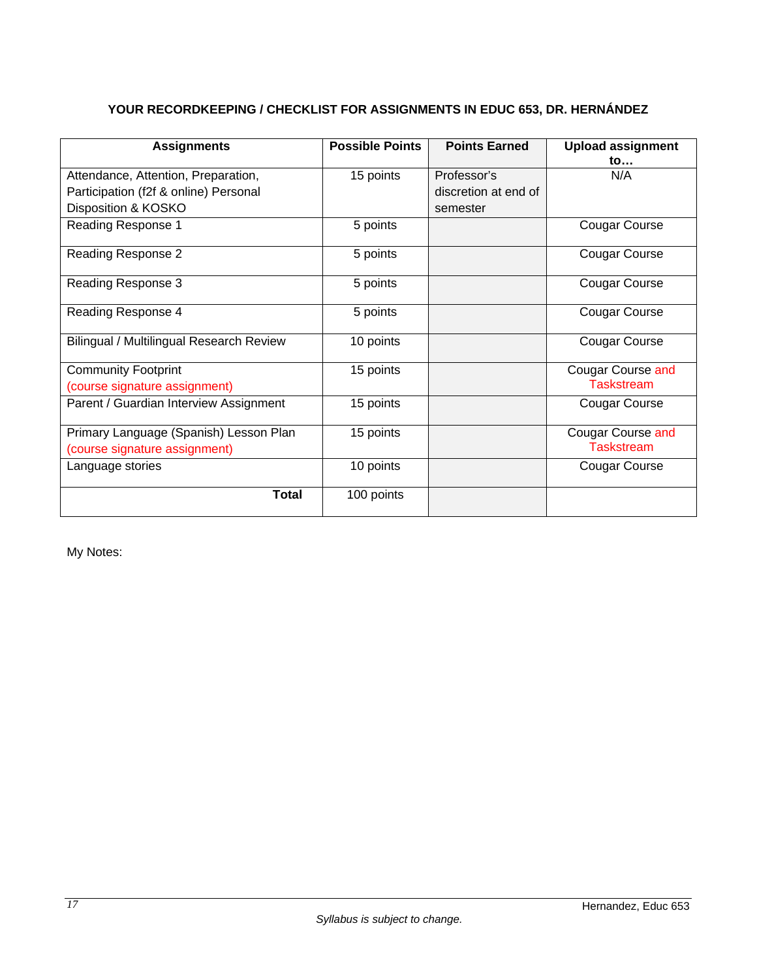# **YOUR RECORDKEEPING / CHECKLIST FOR ASSIGNMENTS IN EDUC 653, DR. HERNÁNDEZ**

| <b>Assignments</b>                              | <b>Possible Points</b> | <b>Points Earned</b> | <b>Upload assignment</b><br>to |
|-------------------------------------------------|------------------------|----------------------|--------------------------------|
| Attendance, Attention, Preparation,             | 15 points              | Professor's          | N/A                            |
| Participation (f2f & online) Personal           |                        | discretion at end of |                                |
| Disposition & KOSKO                             |                        | semester             |                                |
| Reading Response 1                              | 5 points               |                      | <b>Cougar Course</b>           |
| Reading Response 2                              | 5 points               |                      | <b>Cougar Course</b>           |
| Reading Response 3                              | 5 points               |                      | <b>Cougar Course</b>           |
| Reading Response 4                              | 5 points               |                      | <b>Cougar Course</b>           |
| <b>Bilingual / Multilingual Research Review</b> | 10 points              |                      | <b>Cougar Course</b>           |
| <b>Community Footprint</b>                      | 15 points              |                      | Cougar Course and              |
| (course signature assignment)                   |                        |                      | <b>Taskstream</b>              |
| Parent / Guardian Interview Assignment          | 15 points              |                      | Cougar Course                  |
| Primary Language (Spanish) Lesson Plan          | 15 points              |                      | <b>Cougar Course and</b>       |
| (course signature assignment)                   |                        |                      | <b>Taskstream</b>              |
| Language stories                                | 10 points              |                      | Cougar Course                  |
| Total                                           | 100 points             |                      |                                |

My Notes: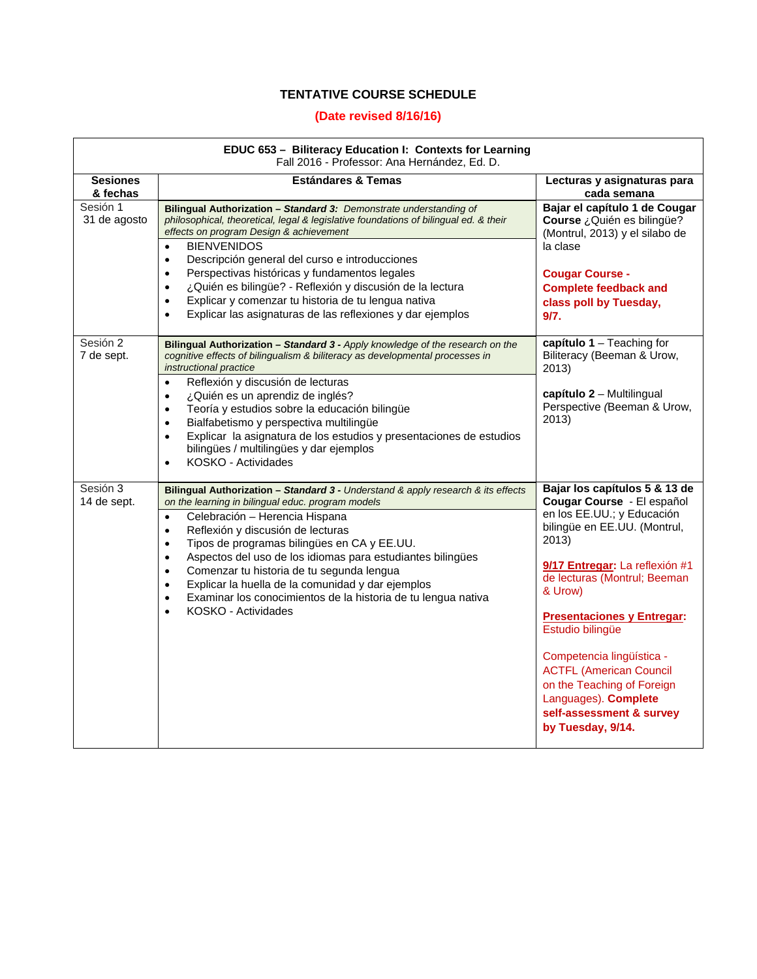# **TENTATIVE COURSE SCHEDULE**

## **(Date revised 8/16/16)**

| EDUC 653 - Biliteracy Education I: Contexts for Learning |
|----------------------------------------------------------|
| Fall 2016 - Professor: Ana Hernández, Ed. D.             |

| Fall 2016 - Professor: Ana Hernández, Ed. D. |                                                                                                                                                                                                                                                                                                                                                                                                                                                                                                                                                                                                                             |                                                                                                                                                                                                                                                                                                                                                                                                                                                |  |  |
|----------------------------------------------|-----------------------------------------------------------------------------------------------------------------------------------------------------------------------------------------------------------------------------------------------------------------------------------------------------------------------------------------------------------------------------------------------------------------------------------------------------------------------------------------------------------------------------------------------------------------------------------------------------------------------------|------------------------------------------------------------------------------------------------------------------------------------------------------------------------------------------------------------------------------------------------------------------------------------------------------------------------------------------------------------------------------------------------------------------------------------------------|--|--|
| <b>Sesiones</b><br>& fechas                  | <b>Estándares &amp; Temas</b>                                                                                                                                                                                                                                                                                                                                                                                                                                                                                                                                                                                               | Lecturas y asignaturas para<br>cada semana                                                                                                                                                                                                                                                                                                                                                                                                     |  |  |
| Sesión 1<br>31 de agosto                     | Bilingual Authorization - Standard 3: Demonstrate understanding of<br>philosophical, theoretical, legal & legislative foundations of bilingual ed. & their<br>effects on program Design & achievement<br><b>BIENVENIDOS</b><br>$\bullet$<br>Descripción general del curso e introducciones<br>$\bullet$<br>Perspectivas históricas y fundamentos legales<br>$\bullet$<br>¿Quién es bilingüe? - Reflexión y discusión de la lectura<br>$\bullet$<br>Explicar y comenzar tu historia de tu lengua nativa<br>$\bullet$<br>Explicar las asignaturas de las reflexiones y dar ejemplos<br>$\bullet$                              | Bajar el capítulo 1 de Cougar<br>Course ¿Quién es bilingüe?<br>(Montrul, 2013) y el silabo de<br>la clase<br><b>Cougar Course -</b><br><b>Complete feedback and</b><br>class poll by Tuesday,<br>9/7.                                                                                                                                                                                                                                          |  |  |
| Sesión 2<br>7 de sept.                       | Bilingual Authorization - Standard 3 - Apply knowledge of the research on the<br>cognitive effects of bilingualism & biliteracy as developmental processes in<br>instructional practice<br>Reflexión y discusión de lecturas<br>$\bullet$<br>¿Quién es un aprendiz de inglés?<br>$\bullet$<br>Teoría y estudios sobre la educación bilingüe<br>$\bullet$<br>Bialfabetismo y perspectiva multilingüe<br>$\bullet$<br>Explicar la asignatura de los estudios y presentaciones de estudios<br>$\bullet$<br>bilingües / multilingües y dar ejemplos<br>KOSKO - Actividades<br>$\bullet$                                         | capítulo $1 -$ Teaching for<br>Biliteracy (Beeman & Urow,<br>2013)<br>capítulo 2 - Multilingual<br>Perspective (Beeman & Urow,<br>2013)                                                                                                                                                                                                                                                                                                        |  |  |
| Sesión 3<br>14 de sept.                      | Bilingual Authorization - Standard 3 - Understand & apply research & its effects<br>on the learning in bilingual educ. program models<br>Celebración - Herencia Hispana<br>$\bullet$<br>Reflexión y discusión de lecturas<br>$\bullet$<br>Tipos de programas bilingües en CA y EE.UU.<br>$\bullet$<br>Aspectos del uso de los idiomas para estudiantes bilingües<br>$\bullet$<br>Comenzar tu historia de tu segunda lengua<br>$\bullet$<br>Explicar la huella de la comunidad y dar ejemplos<br>$\bullet$<br>Examinar los conocimientos de la historia de tu lengua nativa<br>$\bullet$<br>KOSKO - Actividades<br>$\bullet$ | Bajar los capítulos 5 & 13 de<br>Cougar Course - El español<br>en los EE.UU.; y Educación<br>bilingüe en EE.UU. (Montrul,<br>2013)<br>9/17 Entregar: La reflexión #1<br>de lecturas (Montrul; Beeman<br>& Urow)<br><b>Presentaciones y Entregar:</b><br>Estudio bilingüe<br>Competencia lingüística -<br><b>ACTFL (American Council</b><br>on the Teaching of Foreign<br>Languages). Complete<br>self-assessment & survey<br>by Tuesday, 9/14. |  |  |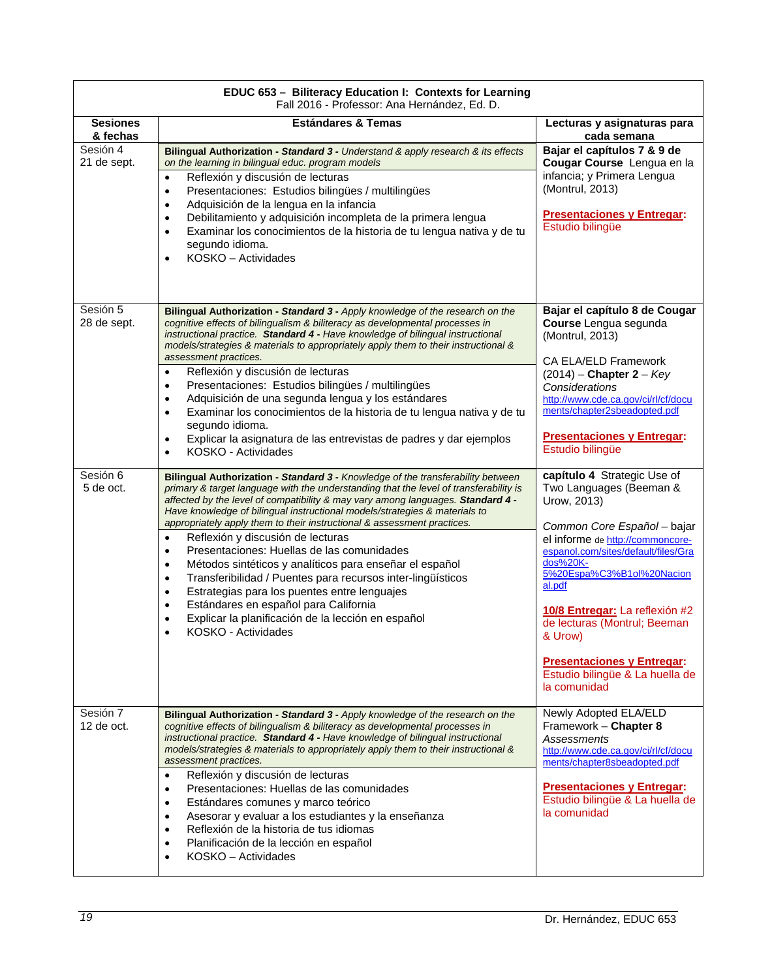| EDUC 653 - Biliteracy Education I: Contexts for Learning<br>Fall 2016 - Professor: Ana Hernández, Ed. D. |                                                                                                                                                                                                                                                                                                                                                                                                                                                                                                                                                                                                                                                                                                                                                                                                                                                                                            |                                                                                                                                                                                                                                                                                                                                                                                                         |  |  |
|----------------------------------------------------------------------------------------------------------|--------------------------------------------------------------------------------------------------------------------------------------------------------------------------------------------------------------------------------------------------------------------------------------------------------------------------------------------------------------------------------------------------------------------------------------------------------------------------------------------------------------------------------------------------------------------------------------------------------------------------------------------------------------------------------------------------------------------------------------------------------------------------------------------------------------------------------------------------------------------------------------------|---------------------------------------------------------------------------------------------------------------------------------------------------------------------------------------------------------------------------------------------------------------------------------------------------------------------------------------------------------------------------------------------------------|--|--|
| <b>Sesiones</b><br>& fechas                                                                              | <b>Estándares &amp; Temas</b>                                                                                                                                                                                                                                                                                                                                                                                                                                                                                                                                                                                                                                                                                                                                                                                                                                                              | Lecturas y asignaturas para<br>cada semana                                                                                                                                                                                                                                                                                                                                                              |  |  |
| Sesión 4<br>21 de sept.                                                                                  | Bilingual Authorization - Standard 3 - Understand & apply research & its effects<br>on the learning in bilingual educ. program models<br>Reflexión y discusión de lecturas<br>$\bullet$<br>Presentaciones: Estudios bilingües / multilingües<br>$\bullet$<br>Adquisición de la lengua en la infancia<br>$\bullet$<br>Debilitamiento y adquisición incompleta de la primera lengua<br>$\bullet$<br>Examinar los conocimientos de la historia de tu lengua nativa y de tu<br>$\bullet$<br>segundo idioma.<br>KOSKO - Actividades<br>$\bullet$                                                                                                                                                                                                                                                                                                                                                | Bajar el capítulos 7 & 9 de<br>Cougar Course Lengua en la<br>infancia; y Primera Lengua<br>(Montrul, 2013)<br><b>Presentaciones y Entregar:</b><br>Estudio bilingüe                                                                                                                                                                                                                                     |  |  |
| Sesión 5<br>28 de sept.                                                                                  | Bilingual Authorization - Standard 3 - Apply knowledge of the research on the<br>cognitive effects of bilingualism & biliteracy as developmental processes in<br>instructional practice. Standard 4 - Have knowledge of bilingual instructional<br>models/strategies & materials to appropriately apply them to their instructional &<br>assessment practices.<br>Reflexión y discusión de lecturas<br>$\bullet$<br>Presentaciones: Estudios bilingües / multilingües<br>$\bullet$<br>Adquisición de una segunda lengua y los estándares<br>$\bullet$<br>Examinar los conocimientos de la historia de tu lengua nativa y de tu<br>$\bullet$<br>segundo idioma.<br>Explicar la asignatura de las entrevistas de padres y dar ejemplos<br>$\bullet$<br>KOSKO - Actividades<br>$\bullet$                                                                                                      | Bajar el capítulo 8 de Cougar<br>Course Lengua segunda<br>(Montrul, 2013)<br><b>CA ELA/ELD Framework</b><br>$(2014)$ – Chapter 2 – Key<br>Considerations<br>http://www.cde.ca.gov/ci/rl/cf/docu<br>ments/chapter2sbeadopted.pdf<br><b>Presentaciones y Entregar:</b><br>Estudio bilingüe                                                                                                                |  |  |
| Sesión 6<br>5 de oct.                                                                                    | Bilingual Authorization - Standard 3 - Knowledge of the transferability between<br>primary & target language with the understanding that the level of transferability is<br>affected by the level of compatibility & may vary among languages. Standard 4 -<br>Have knowledge of bilingual instructional models/strategies & materials to<br>appropriately apply them to their instructional & assessment practices.<br>Reflexión y discusión de lecturas<br>$\bullet$<br>Presentaciones: Huellas de las comunidades<br>$\bullet$<br>Métodos sintéticos y analíticos para enseñar el español<br>$\bullet$<br>Transferibilidad / Puentes para recursos inter-lingüísticos<br>$\bullet$<br>Estrategias para los puentes entre lenguajes<br>٠<br>Estándares en español para California<br>$\bullet$<br>Explicar la planificación de la lección en español<br>$\bullet$<br>KOSKO - Actividades | capítulo 4 Strategic Use of<br>Two Languages (Beeman &<br>Urow, 2013)<br>Common Core Español - bajar<br>el informe de http://commoncore-<br>espanol.com/sites/default/files/Gra<br>dos%20K-<br>5%20Espa%C3%B1ol%20Nacion<br>al.pdf<br>10/8 Entregar: La reflexión #2<br>de lecturas (Montrul; Beeman<br>& Urow)<br><b>Presentaciones y Entregar:</b><br>Estudio bilingüe & La huella de<br>la comunidad |  |  |
| Sesión 7<br>$12$ de oct.                                                                                 | Bilingual Authorization - Standard 3 - Apply knowledge of the research on the<br>cognitive effects of bilingualism & biliteracy as developmental processes in<br>instructional practice. Standard 4 - Have knowledge of bilingual instructional<br>models/strategies & materials to appropriately apply them to their instructional &<br>assessment practices.<br>Reflexión y discusión de lecturas<br>$\bullet$<br>Presentaciones: Huellas de las comunidades<br>$\bullet$<br>Estándares comunes y marco teórico<br>$\bullet$<br>Asesorar y evaluar a los estudiantes y la enseñanza<br>$\bullet$<br>Reflexión de la historia de tus idiomas<br>$\bullet$<br>Planificación de la lección en español<br>$\bullet$<br>KOSKO - Actividades<br>$\bullet$                                                                                                                                      | Newly Adopted ELA/ELD<br>Framework - Chapter 8<br>Assessments<br>http://www.cde.ca.gov/ci/rl/cf/docu<br>ments/chapter8sbeadopted.pdf<br><b>Presentaciones y Entregar:</b><br>Estudio bilingüe & La huella de<br>la comunidad                                                                                                                                                                            |  |  |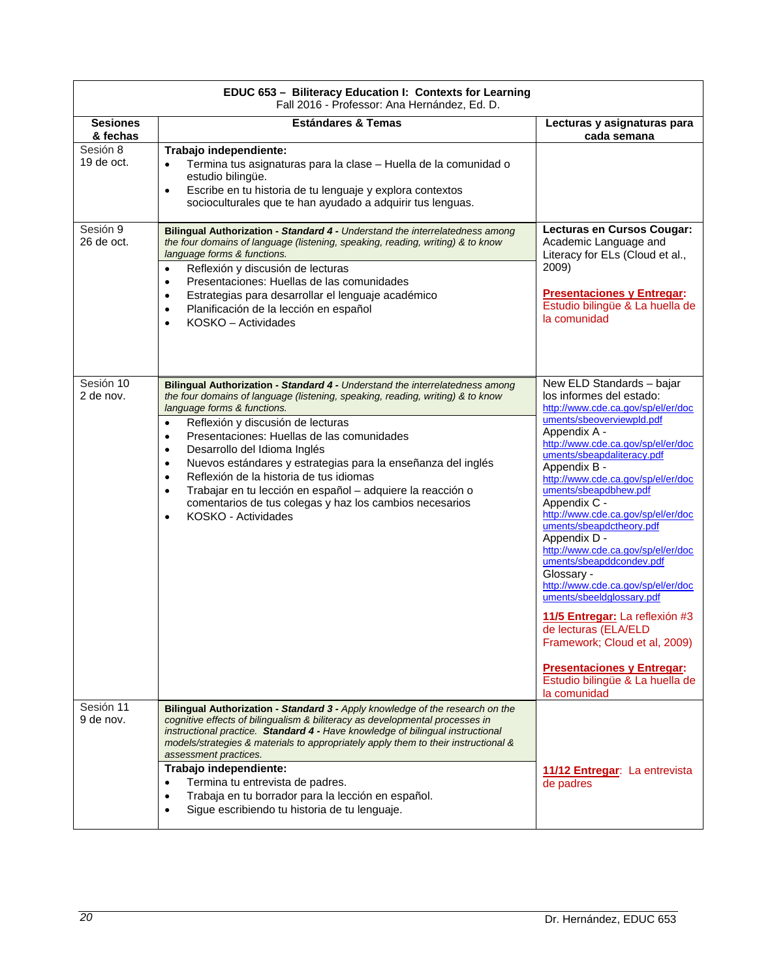|                             | EDUC 653 - Biliteracy Education I: Contexts for Learning<br>Fall 2016 - Professor: Ana Hernández, Ed. D.                                                                                                                                                                                                                                                                                                                                                                                                                                                                                                                                                               |                                                                                                                                                                                                                                                                                                                                                                                                                                                                                                                                                                                                                                                                                                                                     |
|-----------------------------|------------------------------------------------------------------------------------------------------------------------------------------------------------------------------------------------------------------------------------------------------------------------------------------------------------------------------------------------------------------------------------------------------------------------------------------------------------------------------------------------------------------------------------------------------------------------------------------------------------------------------------------------------------------------|-------------------------------------------------------------------------------------------------------------------------------------------------------------------------------------------------------------------------------------------------------------------------------------------------------------------------------------------------------------------------------------------------------------------------------------------------------------------------------------------------------------------------------------------------------------------------------------------------------------------------------------------------------------------------------------------------------------------------------------|
| <b>Sesiones</b><br>& fechas | <b>Estándares &amp; Temas</b>                                                                                                                                                                                                                                                                                                                                                                                                                                                                                                                                                                                                                                          | Lecturas y asignaturas para<br>cada semana                                                                                                                                                                                                                                                                                                                                                                                                                                                                                                                                                                                                                                                                                          |
| Sesión 8<br>19 de oct.      | Trabajo independiente:<br>Termina tus asignaturas para la clase - Huella de la comunidad o<br>$\bullet$<br>estudio bilingüe.<br>Escribe en tu historia de tu lenguaje y explora contextos<br>$\bullet$<br>socioculturales que te han ayudado a adquirir tus lenguas.                                                                                                                                                                                                                                                                                                                                                                                                   |                                                                                                                                                                                                                                                                                                                                                                                                                                                                                                                                                                                                                                                                                                                                     |
| Sesión 9<br>26 de oct.      | Bilingual Authorization - Standard 4 - Understand the interrelatedness among<br>the four domains of language (listening, speaking, reading, writing) & to know<br>language forms & functions.<br>Reflexión y discusión de lecturas<br>$\bullet$<br>Presentaciones: Huellas de las comunidades<br>$\bullet$<br>Estrategias para desarrollar el lenguaje académico<br>$\bullet$<br>Planificación de la lección en español<br>$\bullet$<br>KOSKO - Actividades<br>$\bullet$                                                                                                                                                                                               | Lecturas en Cursos Cougar:<br>Academic Language and<br>Literacy for ELs (Cloud et al.,<br>2009)<br><b>Presentaciones y Entregar:</b><br>Estudio bilingüe & La huella de<br>la comunidad                                                                                                                                                                                                                                                                                                                                                                                                                                                                                                                                             |
| Sesión 10<br>2 de nov.      | Bilingual Authorization - Standard 4 - Understand the interrelatedness among<br>the four domains of language (listening, speaking, reading, writing) & to know<br>language forms & functions.<br>Reflexión y discusión de lecturas<br>$\bullet$<br>Presentaciones: Huellas de las comunidades<br>$\bullet$<br>Desarrollo del Idioma Inglés<br>$\bullet$<br>Nuevos estándares y estrategias para la enseñanza del inglés<br>$\bullet$<br>Reflexión de la historia de tus idiomas<br>$\bullet$<br>Trabajar en tu lección en español - adquiere la reacción o<br>$\bullet$<br>comentarios de tus colegas y haz los cambios necesarios<br>KOSKO - Actividades<br>$\bullet$ | New ELD Standards - bajar<br>los informes del estado:<br>http://www.cde.ca.gov/sp/el/er/doc<br>uments/sbeoverviewpld.pdf<br>Appendix A -<br>http://www.cde.ca.gov/sp/el/er/doc<br>uments/sbeapdaliteracy.pdf<br>Appendix B -<br>http://www.cde.ca.gov/sp/el/er/doc<br>uments/sbeapdbhew.pdf<br>Appendix C -<br>http://www.cde.ca.gov/sp/el/er/doc<br>uments/sbeapdctheory.pdf<br>Appendix D -<br>http://www.cde.ca.gov/sp/el/er/doc<br>uments/sbeapddcondev.pdf<br>Glossary -<br>http://www.cde.ca.gov/sp/el/er/doc<br>uments/sbeeldglossary.pdf<br>11/5 Entregar: La reflexión #3<br>de lecturas (ELA/ELD<br>Framework; Cloud et al, 2009)<br><b>Presentaciones y Entregar:</b><br>Estudio bilingüe & La huella de<br>la comunidad |
| Sesión 11<br>9 de nov.      | Bilingual Authorization - Standard 3 - Apply knowledge of the research on the<br>cognitive effects of bilingualism & biliteracy as developmental processes in<br>instructional practice. Standard 4 - Have knowledge of bilingual instructional<br>models/strategies & materials to appropriately apply them to their instructional &<br>assessment practices.<br>Trabajo independiente:<br>Termina tu entrevista de padres.<br>$\bullet$<br>Trabaja en tu borrador para la lección en español.<br>$\bullet$<br>Sigue escribiendo tu historia de tu lenguaje.<br>$\bullet$                                                                                             | 11/12 Entregar: La entrevista<br>de padres                                                                                                                                                                                                                                                                                                                                                                                                                                                                                                                                                                                                                                                                                          |